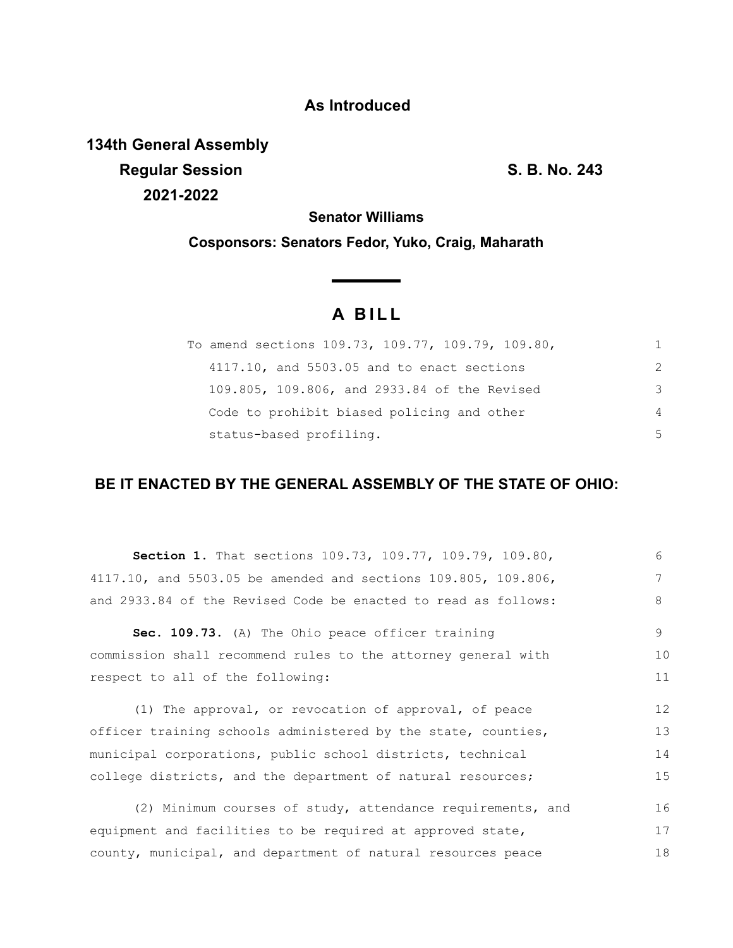# **As Introduced**

**134th General Assembly Regular Session S. B. No. 243 2021-2022**

18

**Senator Williams**

**Cosponsors: Senators Fedor, Yuko, Craig, Maharath**

# **A B I L L**

<u> a shekara t</u>

| To amend sections 109.73, 109.77, 109.79, 109.80, |               |
|---------------------------------------------------|---------------|
| 4117.10, and 5503.05 and to enact sections        | $\mathcal{P}$ |
| 109.805, 109.806, and 2933.84 of the Revised      | 3             |
| Code to prohibit biased policing and other        | 4             |
| status-based profiling.                           | 5             |

# **BE IT ENACTED BY THE GENERAL ASSEMBLY OF THE STATE OF OHIO:**

| Section 1. That sections 109.73, 109.77, 109.79, 109.80,       | 6  |
|----------------------------------------------------------------|----|
| 4117.10, and 5503.05 be amended and sections 109.805, 109.806, | 7  |
| and 2933.84 of the Revised Code be enacted to read as follows: | 8  |
| Sec. 109.73. (A) The Ohio peace officer training               | 9  |
| commission shall recommend rules to the attorney general with  | 10 |
| respect to all of the following:                               | 11 |
| (1) The approval, or revocation of approval, of peace          | 12 |
|                                                                |    |
| officer training schools administered by the state, counties,  | 13 |
| municipal corporations, public school districts, technical     | 14 |
| college districts, and the department of natural resources;    | 15 |
| (2) Minimum courses of study, attendance requirements, and     | 16 |

county, municipal, and department of natural resources peace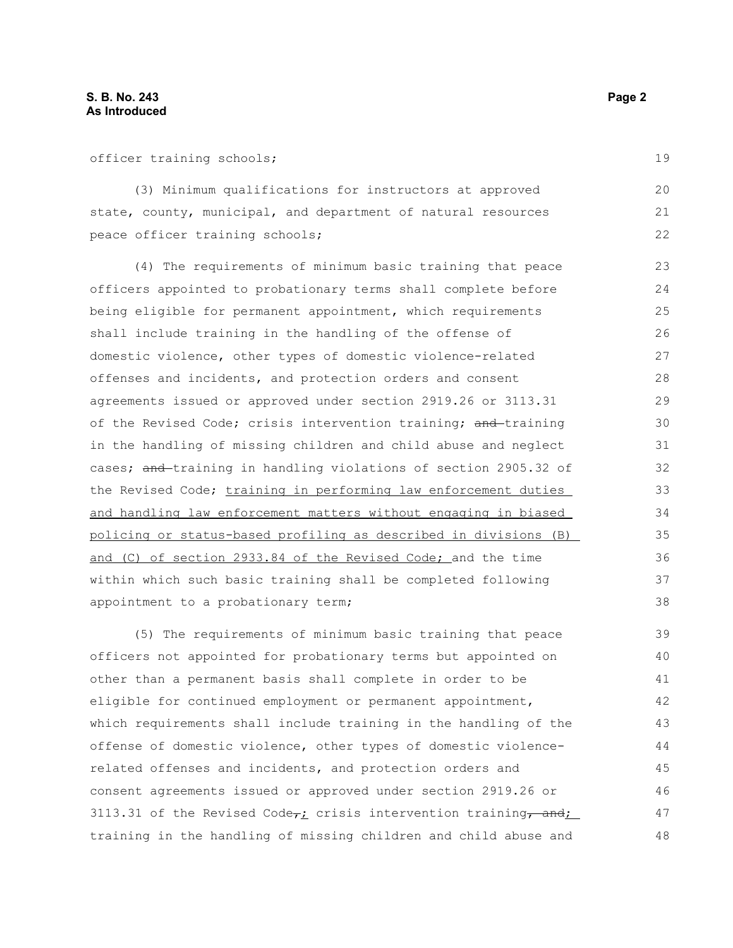(3) Minimum qualifications for instructors at approved state, county, municipal, and department of natural resources peace officer training schools;

(4) The requirements of minimum basic training that peace officers appointed to probationary terms shall complete before being eligible for permanent appointment, which requirements shall include training in the handling of the offense of domestic violence, other types of domestic violence-related offenses and incidents, and protection orders and consent agreements issued or approved under section 2919.26 or 3113.31 of the Revised Code; crisis intervention training; and training in the handling of missing children and child abuse and neglect cases; and training in handling violations of section 2905.32 of the Revised Code; training in performing law enforcement duties and handling law enforcement matters without engaging in biased policing or status-based profiling as described in divisions (B) and (C) of section 2933.84 of the Revised Code; and the time within which such basic training shall be completed following appointment to a probationary term; 23 24 25 26 27 28 29 30 31 32 33 34 35 36 37 38

(5) The requirements of minimum basic training that peace officers not appointed for probationary terms but appointed on other than a permanent basis shall complete in order to be eligible for continued employment or permanent appointment, which requirements shall include training in the handling of the offense of domestic violence, other types of domestic violencerelated offenses and incidents, and protection orders and consent agreements issued or approved under section 2919.26 or 3113.31 of the Revised Code $\tau_L$  crisis intervention training, and; training in the handling of missing children and child abuse and 39 40 41 42 43 44 45 46 47 48

19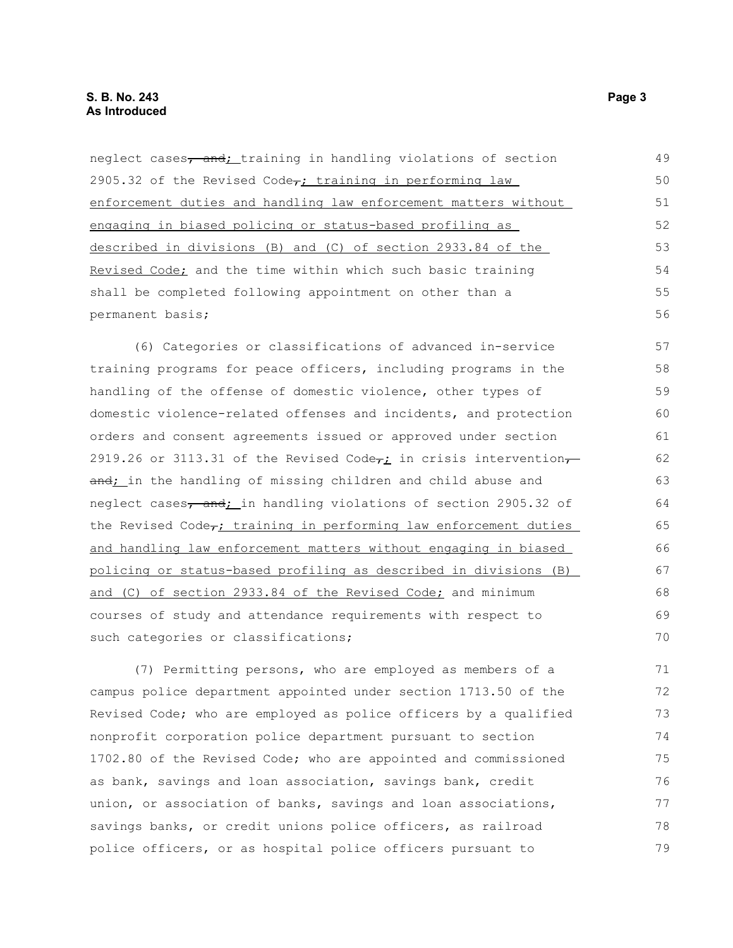neglect cases, and; training in handling violations of section 2905.32 of the Revised Code $\tau$ ; training in performing law enforcement duties and handling law enforcement matters without engaging in biased policing or status-based profiling as described in divisions (B) and (C) of section 2933.84 of the Revised Code; and the time within which such basic training shall be completed following appointment on other than a permanent basis; (6) Categories or classifications of advanced in-service training programs for peace officers, including programs in the handling of the offense of domestic violence, other types of domestic violence-related offenses and incidents, and protection orders and consent agreements issued or approved under section 2919.26 or 3113.31 of the Revised Code<sub>r</sub>; in crisis interventionand; in the handling of missing children and child abuse and neglect cases, and; in handling violations of section 2905.32 of the Revised Code<sub>r</sub>; training in performing law enforcement duties 49 50 51 52 53 54 55 56 57 58 59 60 61 62 63 64 65 66

and handling law enforcement matters without engaging in biased policing or status-based profiling as described in divisions (B) and (C) of section 2933.84 of the Revised Code; and minimum courses of study and attendance requirements with respect to such categories or classifications;

(7) Permitting persons, who are employed as members of a campus police department appointed under section 1713.50 of the Revised Code; who are employed as police officers by a qualified nonprofit corporation police department pursuant to section 1702.80 of the Revised Code; who are appointed and commissioned as bank, savings and loan association, savings bank, credit union, or association of banks, savings and loan associations, savings banks, or credit unions police officers, as railroad police officers, or as hospital police officers pursuant to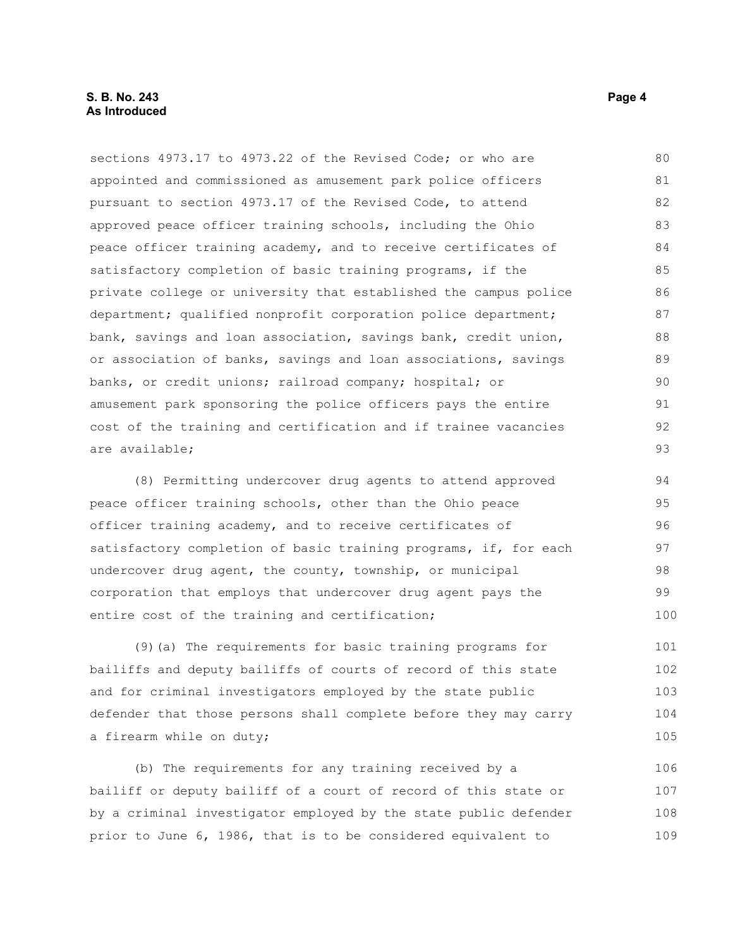sections 4973.17 to 4973.22 of the Revised Code; or who are appointed and commissioned as amusement park police officers pursuant to section 4973.17 of the Revised Code, to attend approved peace officer training schools, including the Ohio peace officer training academy, and to receive certificates of satisfactory completion of basic training programs, if the private college or university that established the campus police department; qualified nonprofit corporation police department; bank, savings and loan association, savings bank, credit union, or association of banks, savings and loan associations, savings banks, or credit unions; railroad company; hospital; or amusement park sponsoring the police officers pays the entire cost of the training and certification and if trainee vacancies are available; 80 81 82 83 84 85 86 87 88 89 90 91 92 93

(8) Permitting undercover drug agents to attend approved peace officer training schools, other than the Ohio peace officer training academy, and to receive certificates of satisfactory completion of basic training programs, if, for each undercover drug agent, the county, township, or municipal corporation that employs that undercover drug agent pays the entire cost of the training and certification; 94 95 96 97 98 99 100

(9)(a) The requirements for basic training programs for bailiffs and deputy bailiffs of courts of record of this state and for criminal investigators employed by the state public defender that those persons shall complete before they may carry a firearm while on duty; 101 102 103 104 105

(b) The requirements for any training received by a bailiff or deputy bailiff of a court of record of this state or by a criminal investigator employed by the state public defender prior to June 6, 1986, that is to be considered equivalent to 106 107 108 109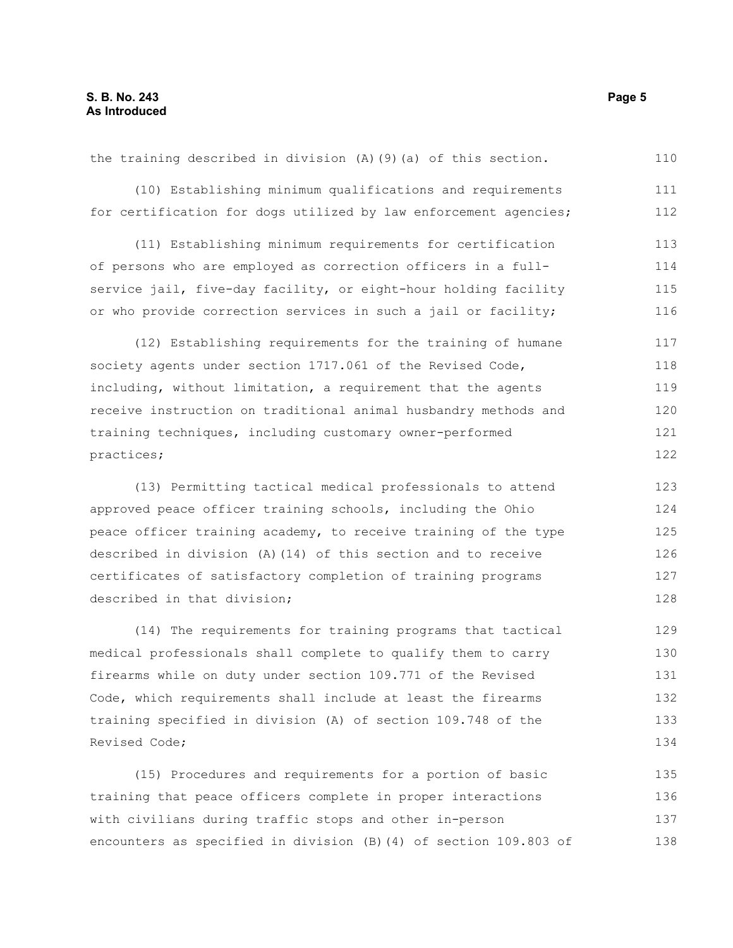the training described in division (A)(9)(a) of this section. (10) Establishing minimum qualifications and requirements for certification for dogs utilized by law enforcement agencies; (11) Establishing minimum requirements for certification of persons who are employed as correction officers in a fullservice jail, five-day facility, or eight-hour holding facility or who provide correction services in such a jail or facility; (12) Establishing requirements for the training of humane society agents under section 1717.061 of the Revised Code, including, without limitation, a requirement that the agents receive instruction on traditional animal husbandry methods and training techniques, including customary owner-performed practices; (13) Permitting tactical medical professionals to attend approved peace officer training schools, including the Ohio peace officer training academy, to receive training of the type described in division (A)(14) of this section and to receive certificates of satisfactory completion of training programs described in that division; (14) The requirements for training programs that tactical medical professionals shall complete to qualify them to carry firearms while on duty under section 109.771 of the Revised Code, which requirements shall include at least the firearms training specified in division (A) of section 109.748 of the Revised Code; (15) Procedures and requirements for a portion of basic 110 111 112 113 114 115 116 117 118 119 120 121 122 123 124 125 126 127 128 129 130 131 132 133 134 135

with civilians during traffic stops and other in-person encounters as specified in division (B)(4) of section 109.803 of 137 138

training that peace officers complete in proper interactions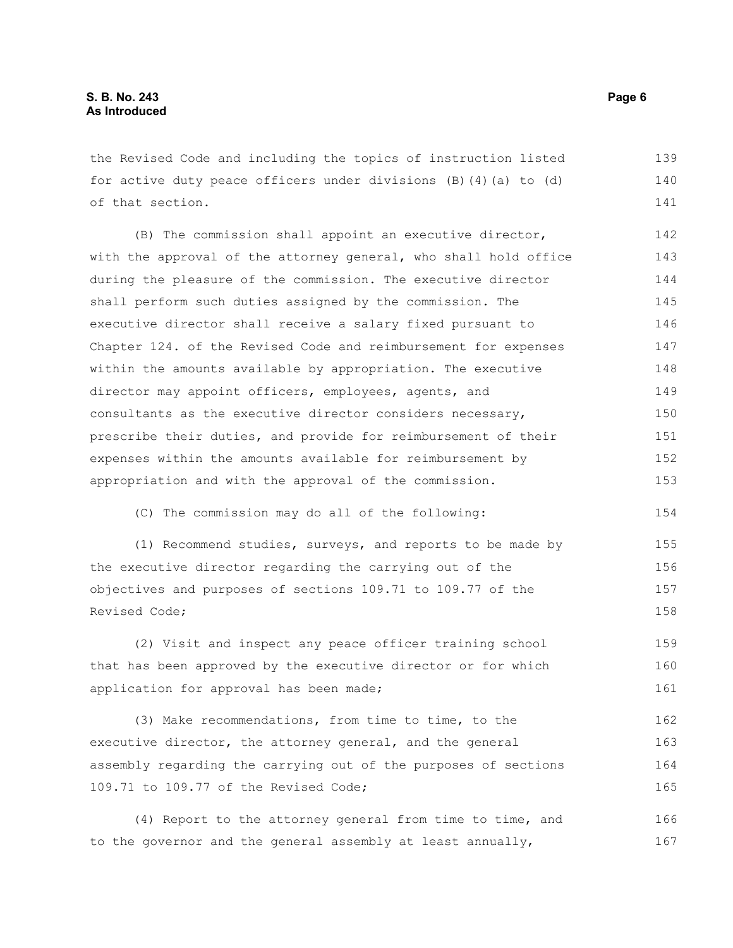the Revised Code and including the topics of instruction listed for active duty peace officers under divisions (B)(4)(a) to (d) of that section. 139 140 141

(B) The commission shall appoint an executive director, with the approval of the attorney general, who shall hold office during the pleasure of the commission. The executive director shall perform such duties assigned by the commission. The executive director shall receive a salary fixed pursuant to Chapter 124. of the Revised Code and reimbursement for expenses within the amounts available by appropriation. The executive director may appoint officers, employees, agents, and consultants as the executive director considers necessary, prescribe their duties, and provide for reimbursement of their expenses within the amounts available for reimbursement by appropriation and with the approval of the commission. 142 143 144 145 146 147 148 149 150 151 152 153

(C) The commission may do all of the following:

(1) Recommend studies, surveys, and reports to be made by the executive director regarding the carrying out of the objectives and purposes of sections 109.71 to 109.77 of the Revised Code; 155 156 157 158

(2) Visit and inspect any peace officer training school that has been approved by the executive director or for which application for approval has been made; 159 160 161

(3) Make recommendations, from time to time, to the executive director, the attorney general, and the general assembly regarding the carrying out of the purposes of sections 109.71 to 109.77 of the Revised Code; 162 163 164 165

(4) Report to the attorney general from time to time, and to the governor and the general assembly at least annually, 166 167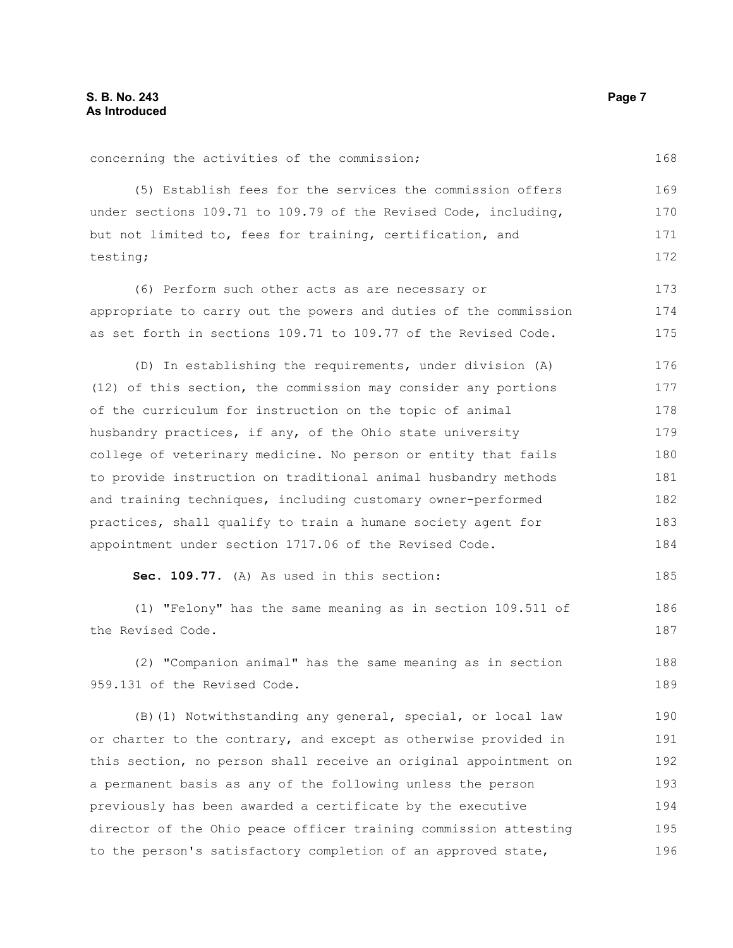| concerning the activities of the commission;                     | 168 |
|------------------------------------------------------------------|-----|
| (5) Establish fees for the services the commission offers        | 169 |
| under sections 109.71 to 109.79 of the Revised Code, including,  | 170 |
| but not limited to, fees for training, certification, and        | 171 |
| testing;                                                         | 172 |
| (6) Perform such other acts as are necessary or                  | 173 |
| appropriate to carry out the powers and duties of the commission | 174 |
| as set forth in sections 109.71 to 109.77 of the Revised Code.   | 175 |
| (D) In establishing the requirements, under division (A)         | 176 |
| (12) of this section, the commission may consider any portions   | 177 |
| of the curriculum for instruction on the topic of animal         | 178 |
| husbandry practices, if any, of the Ohio state university        | 179 |
| college of veterinary medicine. No person or entity that fails   | 180 |
| to provide instruction on traditional animal husbandry methods   | 181 |
| and training techniques, including customary owner-performed     | 182 |
| practices, shall qualify to train a humane society agent for     | 183 |
| appointment under section 1717.06 of the Revised Code.           | 184 |
| Sec. 109.77. (A) As used in this section:                        | 185 |
| (1) "Felony" has the same meaning as in section 109.511 of       | 186 |
| the Revised Code.                                                | 187 |
| (2) "Companion animal" has the same meaning as in section        | 188 |
| 959.131 of the Revised Code.                                     | 189 |
| (B) (1) Notwithstanding any general, special, or local law       | 190 |
| or charter to the contrary, and except as otherwise provided in  | 191 |
| this section, no person shall receive an original appointment on | 192 |
| a permanent basis as any of the following unless the person      | 193 |
| previously has been awarded a certificate by the executive       | 194 |

director of the Ohio peace officer training commission attesting

to the person's satisfactory completion of an approved state,

concerning the activities of the commission;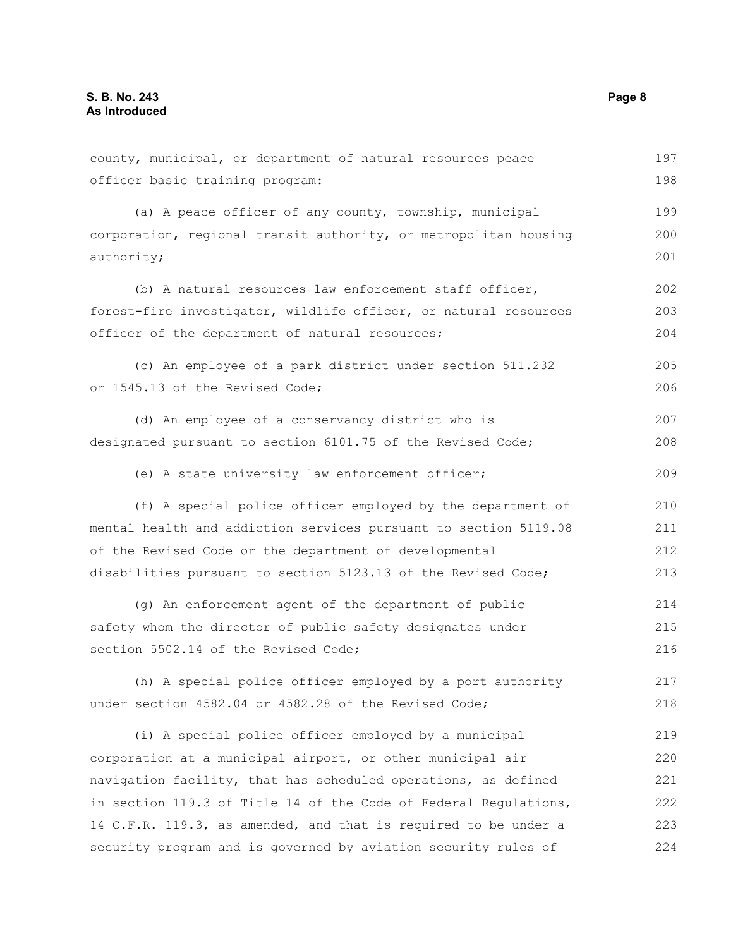county, municipal, or department of natural resources peace officer basic training program: (a) A peace officer of any county, township, municipal corporation, regional transit authority, or metropolitan housing authority; (b) A natural resources law enforcement staff officer, forest-fire investigator, wildlife officer, or natural resources officer of the department of natural resources; (c) An employee of a park district under section 511.232 or 1545.13 of the Revised Code; (d) An employee of a conservancy district who is designated pursuant to section 6101.75 of the Revised Code; (e) A state university law enforcement officer; (f) A special police officer employed by the department of mental health and addiction services pursuant to section 5119.08 of the Revised Code or the department of developmental disabilities pursuant to section 5123.13 of the Revised Code; (g) An enforcement agent of the department of public safety whom the director of public safety designates under section 5502.14 of the Revised Code; (h) A special police officer employed by a port authority under section 4582.04 or 4582.28 of the Revised Code; (i) A special police officer employed by a municipal corporation at a municipal airport, or other municipal air navigation facility, that has scheduled operations, as defined in section 119.3 of Title 14 of the Code of Federal Regulations, 14 C.F.R. 119.3, as amended, and that is required to be under a security program and is governed by aviation security rules of 197 198 199 200 201 202 203 204 205 206 207 208 209 210 211 212 213 214 215 216 217 218 219 220 221 222 223 224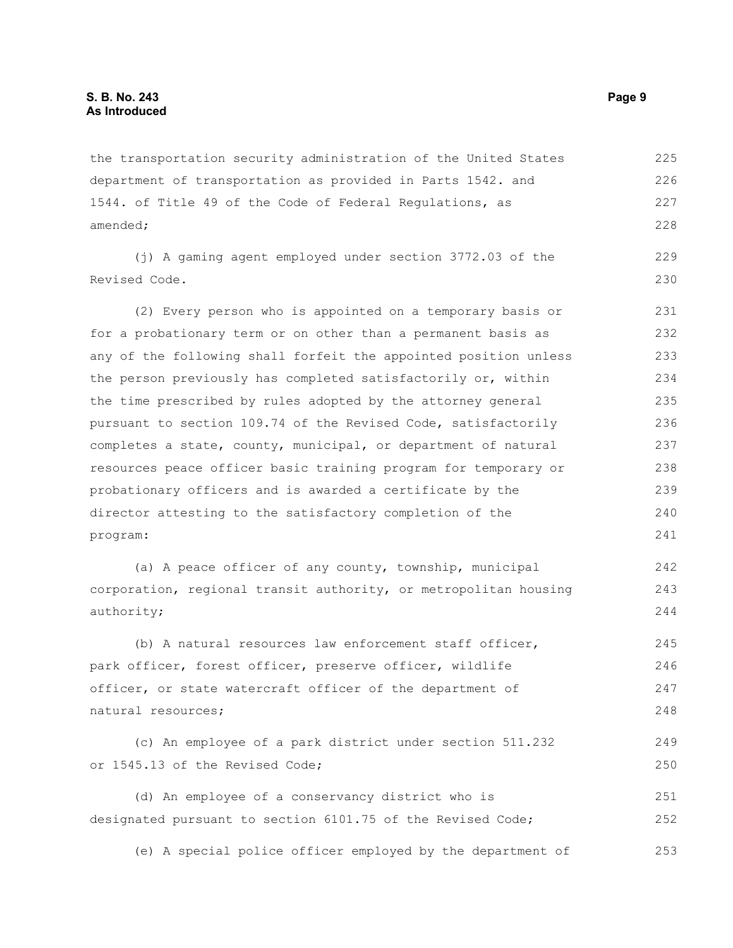the transportation security administration of the United States department of transportation as provided in Parts 1542. and 1544. of Title 49 of the Code of Federal Regulations, as amended; 225 226 227 228

(j) A gaming agent employed under section 3772.03 of the Revised Code. 229 230

(2) Every person who is appointed on a temporary basis or for a probationary term or on other than a permanent basis as any of the following shall forfeit the appointed position unless the person previously has completed satisfactorily or, within the time prescribed by rules adopted by the attorney general pursuant to section 109.74 of the Revised Code, satisfactorily completes a state, county, municipal, or department of natural resources peace officer basic training program for temporary or probationary officers and is awarded a certificate by the director attesting to the satisfactory completion of the program: 231 232 233 234 235 236 237 238 239 240 241

(a) A peace officer of any county, township, municipal corporation, regional transit authority, or metropolitan housing authority; 242 243 244

(b) A natural resources law enforcement staff officer, park officer, forest officer, preserve officer, wildlife officer, or state watercraft officer of the department of natural resources; 245 246 247 248

(c) An employee of a park district under section 511.232 or 1545.13 of the Revised Code; 249 250

(d) An employee of a conservancy district who is designated pursuant to section 6101.75 of the Revised Code; 251 252

(e) A special police officer employed by the department of 253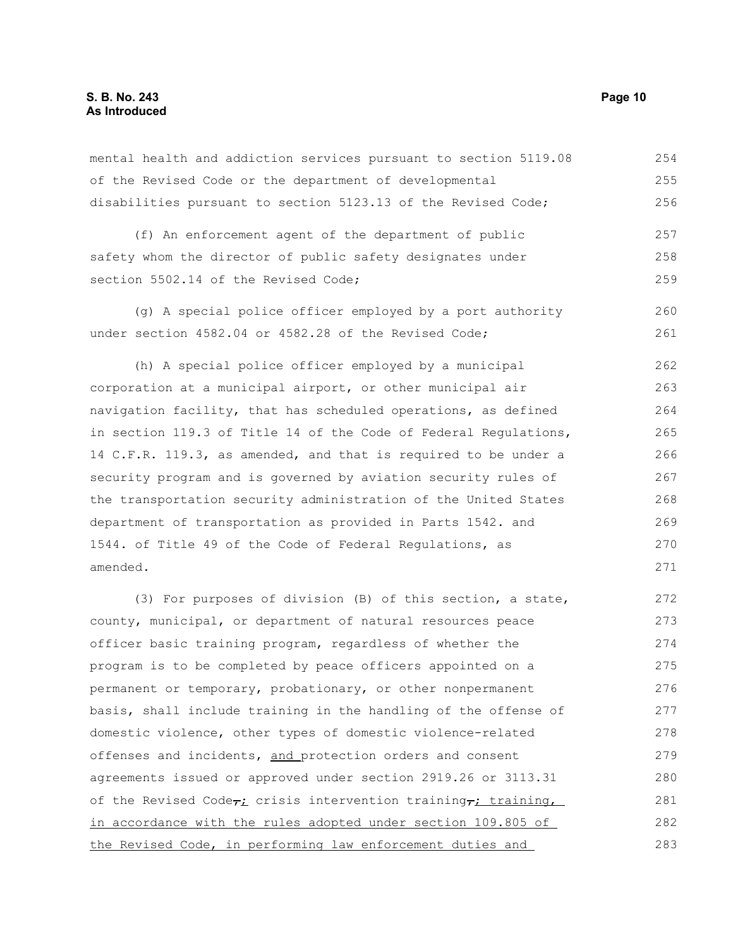#### **S. B. No. 243 Page 10 As Introduced**

mental health and addiction services pursuant to section 5119.08 of the Revised Code or the department of developmental disabilities pursuant to section 5123.13 of the Revised Code; (f) An enforcement agent of the department of public safety whom the director of public safety designates under section 5502.14 of the Revised Code: (g) A special police officer employed by a port authority under section 4582.04 or 4582.28 of the Revised Code; (h) A special police officer employed by a municipal corporation at a municipal airport, or other municipal air navigation facility, that has scheduled operations, as defined in section 119.3 of Title 14 of the Code of Federal Regulations, 14 C.F.R. 119.3, as amended, and that is required to be under a security program and is governed by aviation security rules of the transportation security administration of the United States department of transportation as provided in Parts 1542. and 1544. of Title 49 of the Code of Federal Regulations, as amended. (3) For purposes of division (B) of this section, a state, county, municipal, or department of natural resources peace officer basic training program, regardless of whether the program is to be completed by peace officers appointed on a permanent or temporary, probationary, or other nonpermanent basis, shall include training in the handling of the offense of domestic violence, other types of domestic violence-related offenses and incidents, and protection orders and consent 254 255 256 257 258 259 260 261 262 263 264 265 266 267 268 269 270 271 272 273 274 275 276 277 278 279

agreements issued or approved under section 2919.26 or 3113.31 of the Revised Code $\tau_i$  crisis intervention training, training, in accordance with the rules adopted under section 109.805 of the Revised Code, in performing law enforcement duties and 280 281 282 283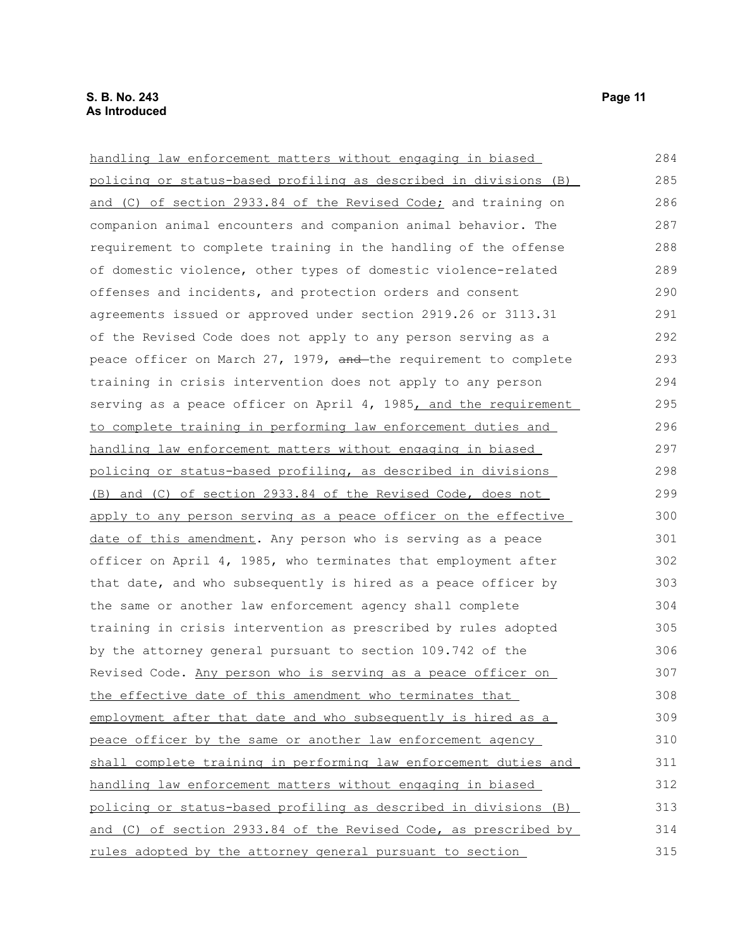| handling law enforcement matters without engaging in biased      |
|------------------------------------------------------------------|
| policing or status-based profiling as described in divisions (B) |
| and (C) of section 2933.84 of the Revised Code; and training on  |
| companion animal encounters and companion animal behavior. The   |
| requirement to complete training in the handling of the offense  |

and (C) of section 2933.84 of the Revised Code; companion animal encounters and companion anima requirement to complete training in the handling of the offense of domestic violence, other types of domestic violence-related offenses and incidents, and protection orders and consent agreements issued or approved under section 2919.26 or 3113.31 of the Revised Code does not apply to any person serving as a peace officer on March  $27$ , 1979, and the requirement to complete training in crisis intervention does not apply to any person serving as a peace officer on April 4, 1985, and the requirement to complete training in performing law enforcement duties and handling law enforcement matters without engaging in biased policing or status-based profiling, as described in divisions (B) and (C) of section 2933.84 of the Revised Code, does not apply to any person serving as a peace officer on the effective date of this amendment. Any person who is serving as a peace officer on April 4, 1985, who terminates that employment after that date, and who subsequently is hired as a peace officer by the same or another law enforcement agency shall complete training in crisis intervention as prescribed by rules adopted by the attorney general pursuant to section 109.742 of the Revised Code. Any person who is serving as a peace officer on the effective date of this amendment who terminates that employment after that date and who subsequently is hired as a peace officer by the same or another law enforcement agency shall complete training in performing law enforcement duties and handling law enforcement matters without engaging in biased policing or status-based profiling as described in divisions (B) and (C) of section 2933.84 of the Revised Code, as prescribed by rules adopted by the attorney general pursuant to section 286 287 288 289 290 291 292 293 294 295 296 297 298 299 300 301 302 303 304 305 306 307 308 309 310 311 312 313 314 315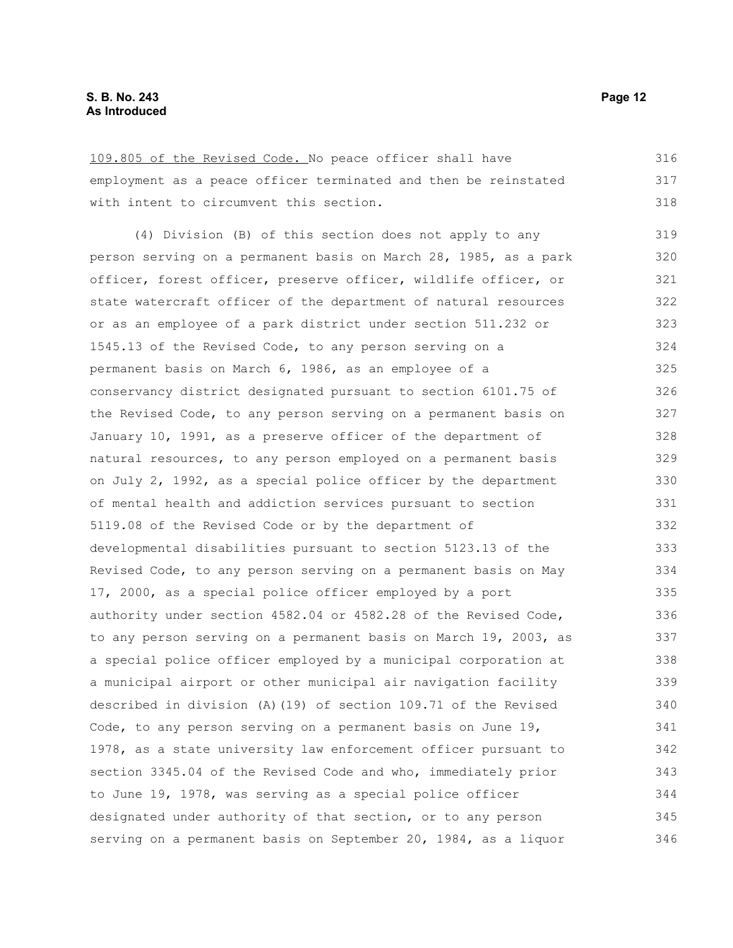109.805 of the Revised Code. No peace officer shall have employment as a peace officer terminated and then be reinstated with intent to circumvent this section. (4) Division (B) of this section does not apply to any person serving on a permanent basis on March 28, 1985, as a park officer, forest officer, preserve officer, wildlife officer, or state watercraft officer of the department of natural resources or as an employee of a park district under section 511.232 or 1545.13 of the Revised Code, to any person serving on a permanent basis on March 6, 1986, as an employee of a conservancy district designated pursuant to section 6101.75 of the Revised Code, to any person serving on a permanent basis on January 10, 1991, as a preserve officer of the department of natural resources, to any person employed on a permanent basis on July 2, 1992, as a special police officer by the department of mental health and addiction services pursuant to section 5119.08 of the Revised Code or by the department of developmental disabilities pursuant to section 5123.13 of the Revised Code, to any person serving on a permanent basis on May 17, 2000, as a special police officer employed by a port authority under section 4582.04 or 4582.28 of the Revised Code, to any person serving on a permanent basis on March 19, 2003, as a special police officer employed by a municipal corporation at a municipal airport or other municipal air navigation facility described in division (A)(19) of section 109.71 of the Revised Code, to any person serving on a permanent basis on June 19, 1978, as a state university law enforcement officer pursuant to section 3345.04 of the Revised Code and who, immediately prior to June 19, 1978, was serving as a special police officer designated under authority of that section, or to any person 316 317 318 319 320 321 322 323 324 325 326 327 328 329 330 331 332 333 334 335 336 337 338 339 340 341 342 343 344 345

serving on a permanent basis on September 20, 1984, as a liquor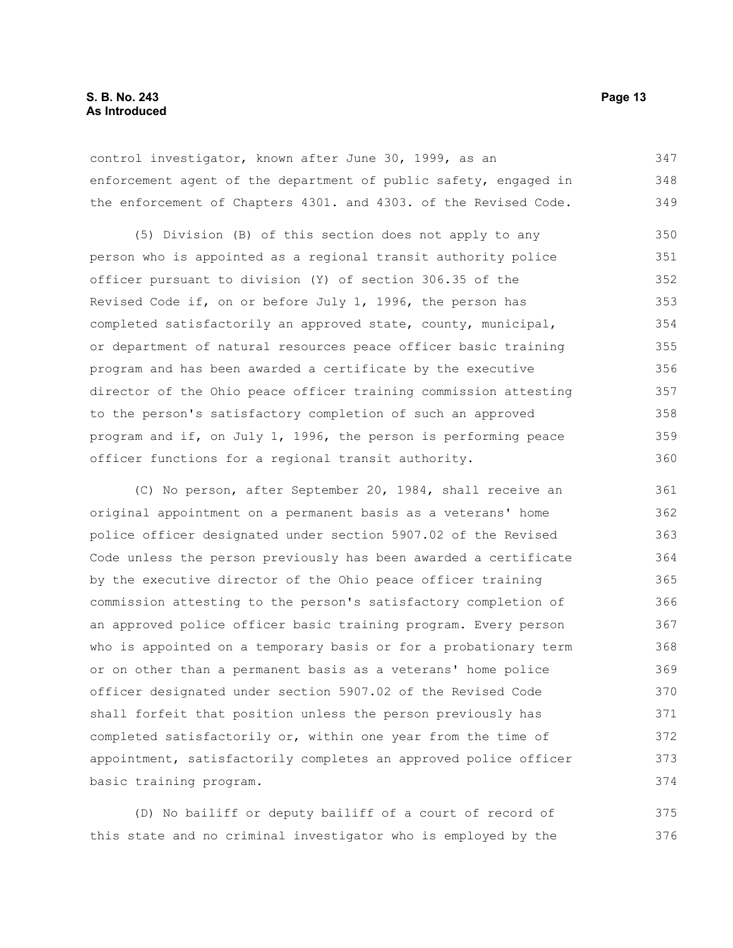control investigator, known after June 30, 1999, as an enforcement agent of the department of public safety, engaged in the enforcement of Chapters 4301. and 4303. of the Revised Code. 347 348 349

(5) Division (B) of this section does not apply to any person who is appointed as a regional transit authority police officer pursuant to division (Y) of section 306.35 of the Revised Code if, on or before July 1, 1996, the person has completed satisfactorily an approved state, county, municipal, or department of natural resources peace officer basic training program and has been awarded a certificate by the executive director of the Ohio peace officer training commission attesting to the person's satisfactory completion of such an approved program and if, on July 1, 1996, the person is performing peace officer functions for a regional transit authority. 350 351 352 353 354 355 356 357 358 359 360

(C) No person, after September 20, 1984, shall receive an original appointment on a permanent basis as a veterans' home police officer designated under section 5907.02 of the Revised Code unless the person previously has been awarded a certificate by the executive director of the Ohio peace officer training commission attesting to the person's satisfactory completion of an approved police officer basic training program. Every person who is appointed on a temporary basis or for a probationary term or on other than a permanent basis as a veterans' home police officer designated under section 5907.02 of the Revised Code shall forfeit that position unless the person previously has completed satisfactorily or, within one year from the time of appointment, satisfactorily completes an approved police officer basic training program. 361 362 363 364 365 366 367 368 369 370 371 372 373 374

(D) No bailiff or deputy bailiff of a court of record of this state and no criminal investigator who is employed by the 375 376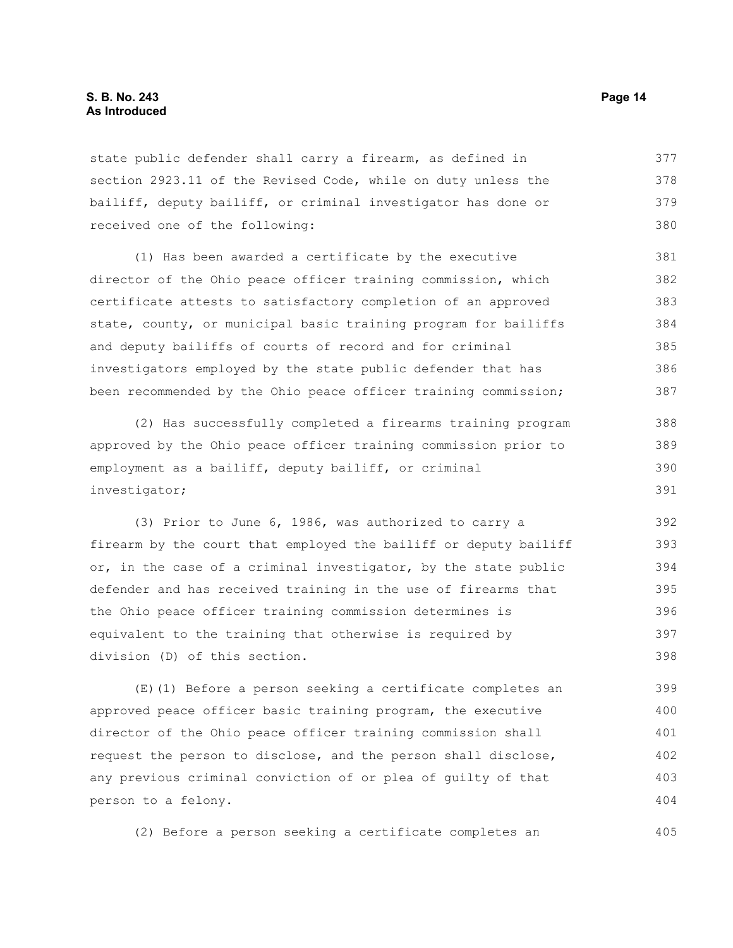state public defender shall carry a firearm, as defined in section 2923.11 of the Revised Code, while on duty unless the bailiff, deputy bailiff, or criminal investigator has done or received one of the following: 377 378 379 380

(1) Has been awarded a certificate by the executive director of the Ohio peace officer training commission, which certificate attests to satisfactory completion of an approved state, county, or municipal basic training program for bailiffs and deputy bailiffs of courts of record and for criminal investigators employed by the state public defender that has been recommended by the Ohio peace officer training commission; 381 382 383 384 385 386 387

(2) Has successfully completed a firearms training program approved by the Ohio peace officer training commission prior to employment as a bailiff, deputy bailiff, or criminal investigator; 388 389 390 391

(3) Prior to June 6, 1986, was authorized to carry a firearm by the court that employed the bailiff or deputy bailiff or, in the case of a criminal investigator, by the state public defender and has received training in the use of firearms that the Ohio peace officer training commission determines is equivalent to the training that otherwise is required by division (D) of this section. 392 393 394 395 396 397 398

(E)(1) Before a person seeking a certificate completes an approved peace officer basic training program, the executive director of the Ohio peace officer training commission shall request the person to disclose, and the person shall disclose, any previous criminal conviction of or plea of guilty of that person to a felony. 399 400 401 402 403 404

(2) Before a person seeking a certificate completes an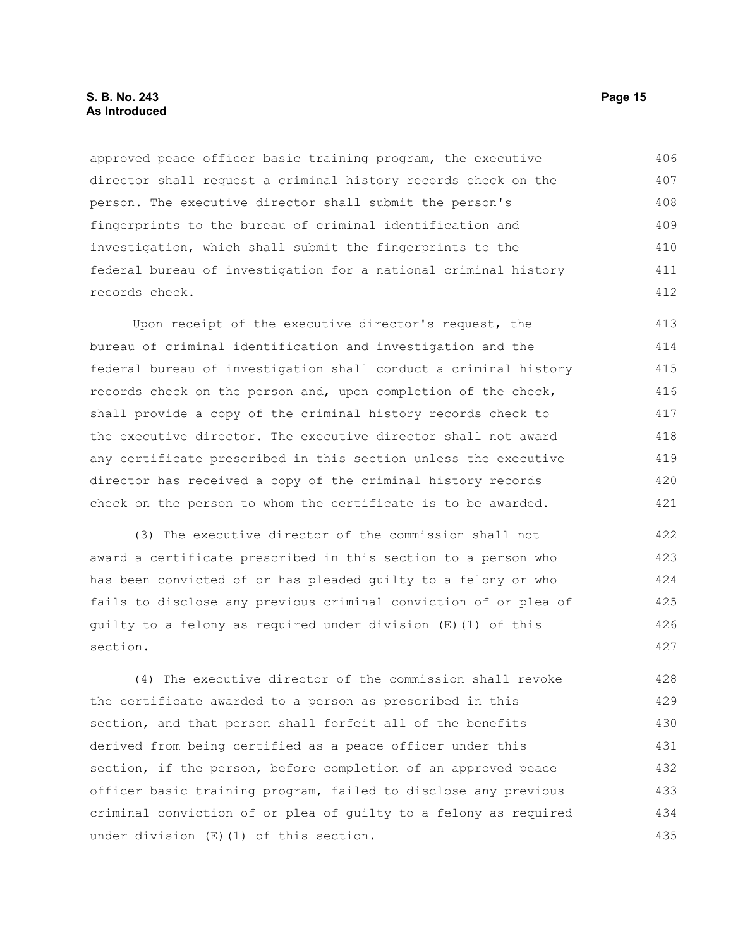#### **S. B. No. 243 Page 15 As Introduced**

approved peace officer basic training program, the executive director shall request a criminal history records check on the person. The executive director shall submit the person's fingerprints to the bureau of criminal identification and investigation, which shall submit the fingerprints to the federal bureau of investigation for a national criminal history records check. 406 407 408 409 410 411 412

Upon receipt of the executive director's request, the bureau of criminal identification and investigation and the federal bureau of investigation shall conduct a criminal history records check on the person and, upon completion of the check, shall provide a copy of the criminal history records check to the executive director. The executive director shall not award any certificate prescribed in this section unless the executive director has received a copy of the criminal history records check on the person to whom the certificate is to be awarded. 413 414 415 416 417 418 419 420 421

(3) The executive director of the commission shall not award a certificate prescribed in this section to a person who has been convicted of or has pleaded guilty to a felony or who fails to disclose any previous criminal conviction of or plea of guilty to a felony as required under division (E)(1) of this section. 422 423 424 425 426 427

(4) The executive director of the commission shall revoke the certificate awarded to a person as prescribed in this section, and that person shall forfeit all of the benefits derived from being certified as a peace officer under this section, if the person, before completion of an approved peace officer basic training program, failed to disclose any previous criminal conviction of or plea of guilty to a felony as required under division (E)(1) of this section. 428 429 430 431 432 433 434 435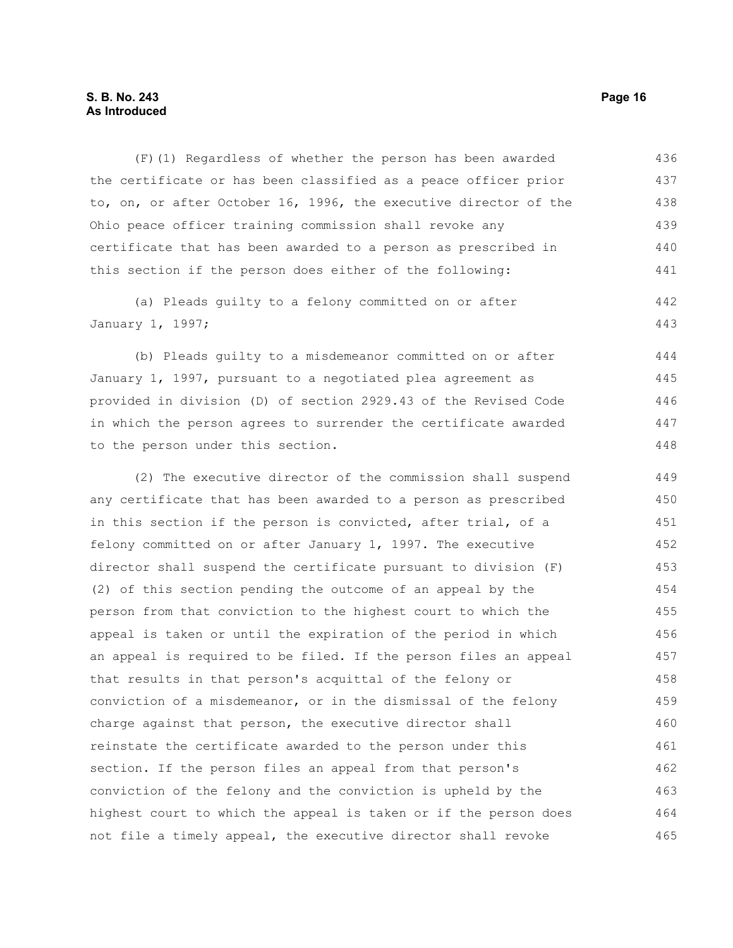## **S. B. No. 243 Page 16 As Introduced**

(F)(1) Regardless of whether the person has been awarded the certificate or has been classified as a peace officer prior to, on, or after October 16, 1996, the executive director of the Ohio peace officer training commission shall revoke any certificate that has been awarded to a person as prescribed in this section if the person does either of the following: 436 437 438 439 440 441

(a) Pleads guilty to a felony committed on or after January 1, 1997; 442 443

(b) Pleads guilty to a misdemeanor committed on or after January 1, 1997, pursuant to a negotiated plea agreement as provided in division (D) of section 2929.43 of the Revised Code in which the person agrees to surrender the certificate awarded to the person under this section. 444 445 446 447 448

(2) The executive director of the commission shall suspend any certificate that has been awarded to a person as prescribed in this section if the person is convicted, after trial, of a felony committed on or after January 1, 1997. The executive director shall suspend the certificate pursuant to division (F) (2) of this section pending the outcome of an appeal by the person from that conviction to the highest court to which the appeal is taken or until the expiration of the period in which an appeal is required to be filed. If the person files an appeal that results in that person's acquittal of the felony or conviction of a misdemeanor, or in the dismissal of the felony charge against that person, the executive director shall reinstate the certificate awarded to the person under this section. If the person files an appeal from that person's conviction of the felony and the conviction is upheld by the highest court to which the appeal is taken or if the person does not file a timely appeal, the executive director shall revoke 449 450 451 452 453 454 455 456 457 458 459 460 461 462 463 464 465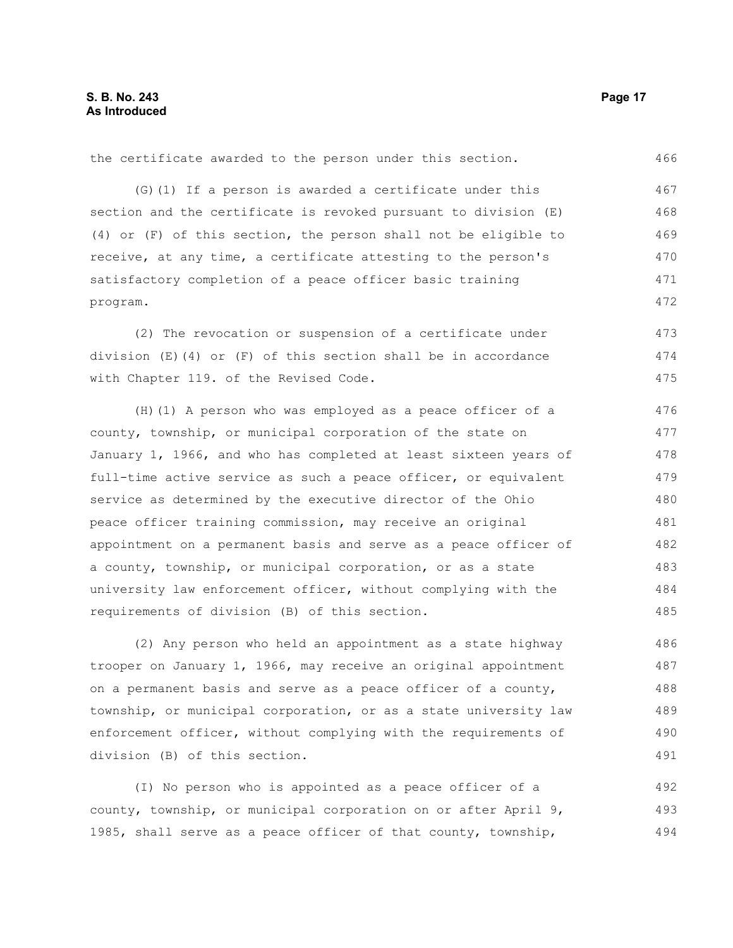the certificate awarded to the person under this section. 466

(G)(1) If a person is awarded a certificate under this section and the certificate is revoked pursuant to division (E) (4) or (F) of this section, the person shall not be eligible to receive, at any time, a certificate attesting to the person's satisfactory completion of a peace officer basic training program. 467 468 469 470 471 472

(2) The revocation or suspension of a certificate under division  $(E)$  (4) or  $(F)$  of this section shall be in accordance with Chapter 119. of the Revised Code. 473 474 475

(H)(1) A person who was employed as a peace officer of a county, township, or municipal corporation of the state on January 1, 1966, and who has completed at least sixteen years of full-time active service as such a peace officer, or equivalent service as determined by the executive director of the Ohio peace officer training commission, may receive an original appointment on a permanent basis and serve as a peace officer of a county, township, or municipal corporation, or as a state university law enforcement officer, without complying with the requirements of division (B) of this section. 476 477 478 479 480 481 482 483 484 485

(2) Any person who held an appointment as a state highway trooper on January 1, 1966, may receive an original appointment on a permanent basis and serve as a peace officer of a county, township, or municipal corporation, or as a state university law enforcement officer, without complying with the requirements of division (B) of this section. 486 487 488 489 490 491

(I) No person who is appointed as a peace officer of a county, township, or municipal corporation on or after April 9, 1985, shall serve as a peace officer of that county, township, 492 493 494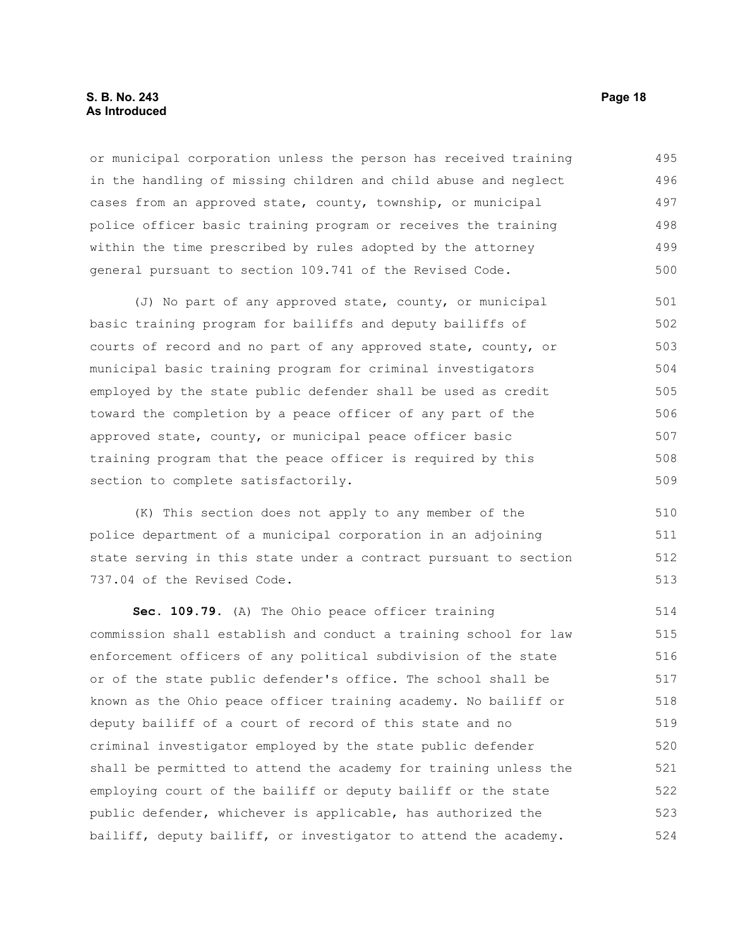#### **S. B. No. 243 Page 18 As Introduced**

or municipal corporation unless the person has received training in the handling of missing children and child abuse and neglect cases from an approved state, county, township, or municipal police officer basic training program or receives the training within the time prescribed by rules adopted by the attorney general pursuant to section 109.741 of the Revised Code. 495 496 497 498 499 500

(J) No part of any approved state, county, or municipal basic training program for bailiffs and deputy bailiffs of courts of record and no part of any approved state, county, or municipal basic training program for criminal investigators employed by the state public defender shall be used as credit toward the completion by a peace officer of any part of the approved state, county, or municipal peace officer basic training program that the peace officer is required by this section to complete satisfactorily. 501 502 503 504 505 506 507 508 509

(K) This section does not apply to any member of the police department of a municipal corporation in an adjoining state serving in this state under a contract pursuant to section 737.04 of the Revised Code.

**Sec. 109.79.** (A) The Ohio peace officer training commission shall establish and conduct a training school for law enforcement officers of any political subdivision of the state or of the state public defender's office. The school shall be known as the Ohio peace officer training academy. No bailiff or deputy bailiff of a court of record of this state and no criminal investigator employed by the state public defender shall be permitted to attend the academy for training unless the employing court of the bailiff or deputy bailiff or the state public defender, whichever is applicable, has authorized the bailiff, deputy bailiff, or investigator to attend the academy. 514 515 516 517 518 519 520 521 522 523 524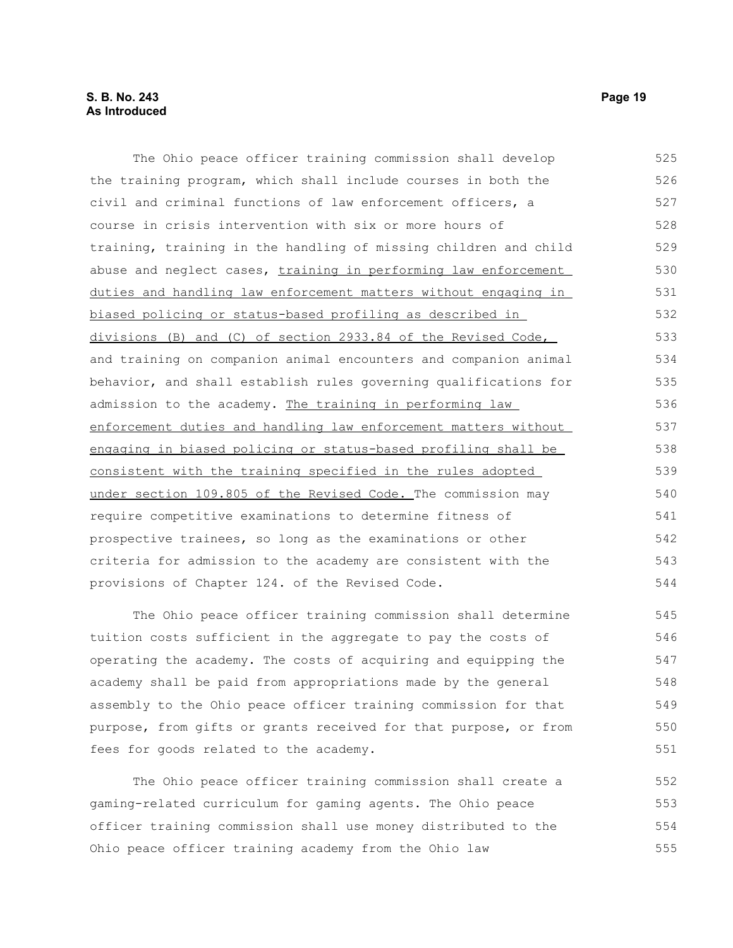The Ohio peace officer training commission shall develop the training program, which shall include courses in both the civil and criminal functions of law enforcement officers, a course in crisis intervention with six or more hours of training, training in the handling of missing children and child abuse and neglect cases, training in performing law enforcement duties and handling law enforcement matters without engaging in biased policing or status-based profiling as described in divisions (B) and (C) of section 2933.84 of the Revised Code, and training on companion animal encounters and companion animal behavior, and shall establish rules governing qualifications for admission to the academy. The training in performing law enforcement duties and handling law enforcement matters without engaging in biased policing or status-based profiling shall be consistent with the training specified in the rules adopted under section 109.805 of the Revised Code. The commission may require competitive examinations to determine fitness of prospective trainees, so long as the examinations or other criteria for admission to the academy are consistent with the provisions of Chapter 124. of the Revised Code. 525 526 527 528 529 530 531 532 533 534 535 536 537 538 539 540 541 542 543 544

The Ohio peace officer training commission shall determine tuition costs sufficient in the aggregate to pay the costs of operating the academy. The costs of acquiring and equipping the academy shall be paid from appropriations made by the general assembly to the Ohio peace officer training commission for that purpose, from gifts or grants received for that purpose, or from fees for goods related to the academy. 545 546 547 548 549 550 551

The Ohio peace officer training commission shall create a gaming-related curriculum for gaming agents. The Ohio peace officer training commission shall use money distributed to the Ohio peace officer training academy from the Ohio law 552 553 554 555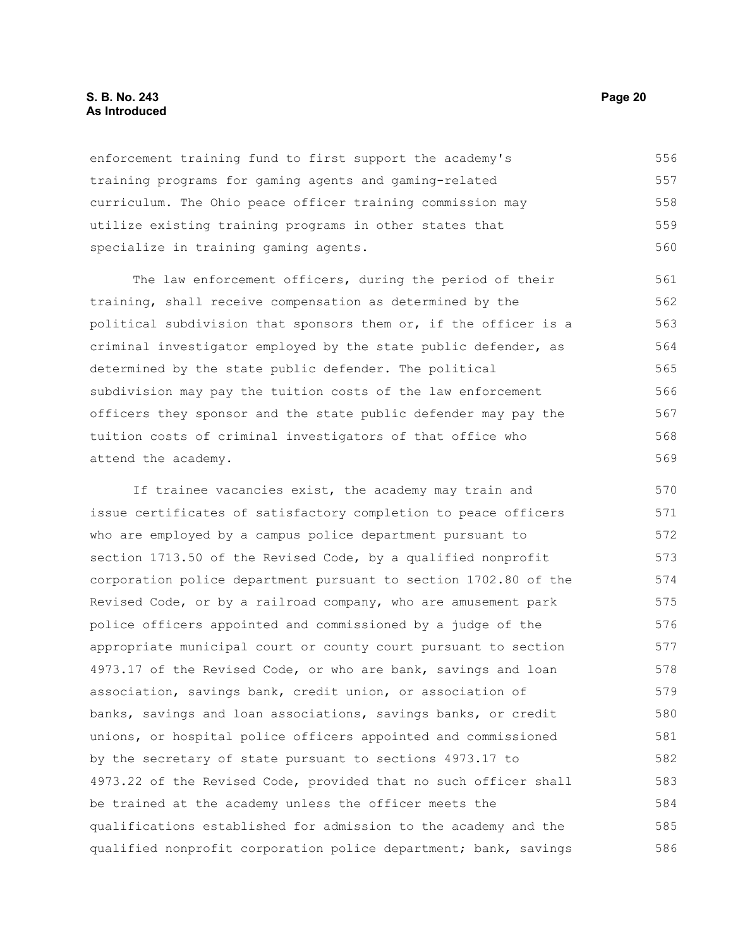#### **S. B. No. 243 Page 20 As Introduced**

enforcement training fund to first support the academy's training programs for gaming agents and gaming-related curriculum. The Ohio peace officer training commission may utilize existing training programs in other states that specialize in training gaming agents. 556 557 558 559 560

The law enforcement officers, during the period of their training, shall receive compensation as determined by the political subdivision that sponsors them or, if the officer is a criminal investigator employed by the state public defender, as determined by the state public defender. The political subdivision may pay the tuition costs of the law enforcement officers they sponsor and the state public defender may pay the tuition costs of criminal investigators of that office who attend the academy. 561 562 563 564 565 566 567 568 569

If trainee vacancies exist, the academy may train and issue certificates of satisfactory completion to peace officers who are employed by a campus police department pursuant to section 1713.50 of the Revised Code, by a qualified nonprofit corporation police department pursuant to section 1702.80 of the Revised Code, or by a railroad company, who are amusement park police officers appointed and commissioned by a judge of the appropriate municipal court or county court pursuant to section 4973.17 of the Revised Code, or who are bank, savings and loan association, savings bank, credit union, or association of banks, savings and loan associations, savings banks, or credit unions, or hospital police officers appointed and commissioned by the secretary of state pursuant to sections 4973.17 to 4973.22 of the Revised Code, provided that no such officer shall be trained at the academy unless the officer meets the qualifications established for admission to the academy and the qualified nonprofit corporation police department; bank, savings 570 571 572 573 574 575 576 577 578 579 580 581 582 583 584 585 586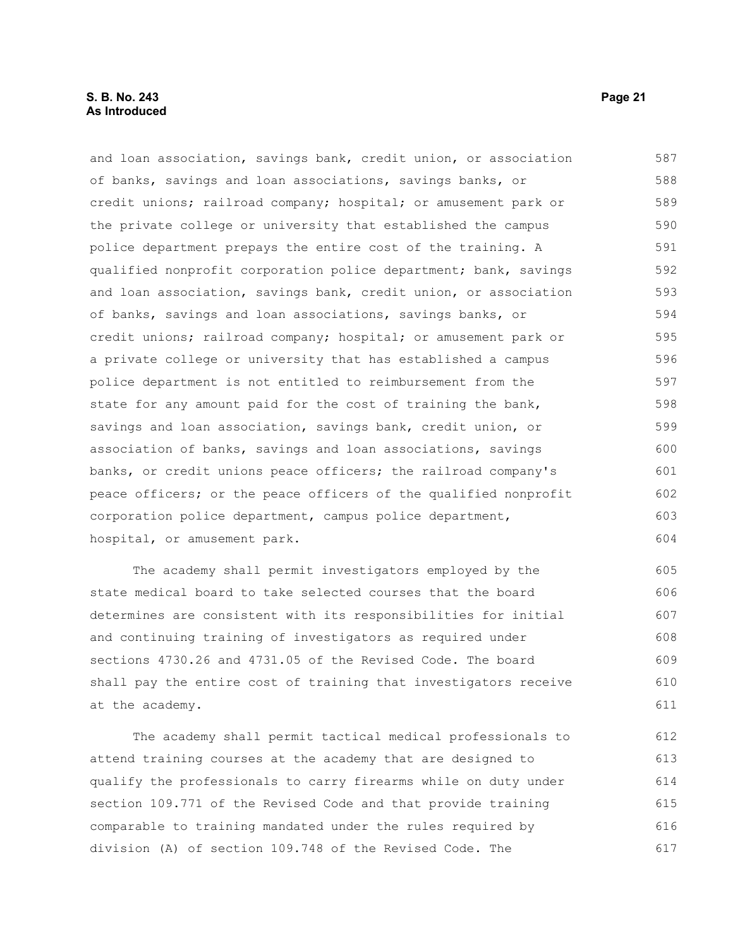#### **S. B. No. 243 Page 21 As Introduced**

and loan association, savings bank, credit union, or association of banks, savings and loan associations, savings banks, or credit unions; railroad company; hospital; or amusement park or the private college or university that established the campus police department prepays the entire cost of the training. A qualified nonprofit corporation police department; bank, savings and loan association, savings bank, credit union, or association of banks, savings and loan associations, savings banks, or credit unions; railroad company; hospital; or amusement park or a private college or university that has established a campus police department is not entitled to reimbursement from the state for any amount paid for the cost of training the bank, savings and loan association, savings bank, credit union, or association of banks, savings and loan associations, savings banks, or credit unions peace officers; the railroad company's peace officers; or the peace officers of the qualified nonprofit corporation police department, campus police department, hospital, or amusement park. 587 588 589 590 591 592 593 594 595 596 597 598 599 600 601 602 603 604

The academy shall permit investigators employed by the state medical board to take selected courses that the board determines are consistent with its responsibilities for initial and continuing training of investigators as required under sections 4730.26 and 4731.05 of the Revised Code. The board shall pay the entire cost of training that investigators receive at the academy. 605 606 607 608 609 610 611

The academy shall permit tactical medical professionals to attend training courses at the academy that are designed to qualify the professionals to carry firearms while on duty under section 109.771 of the Revised Code and that provide training comparable to training mandated under the rules required by division (A) of section 109.748 of the Revised Code. The 612 613 614 615 616 617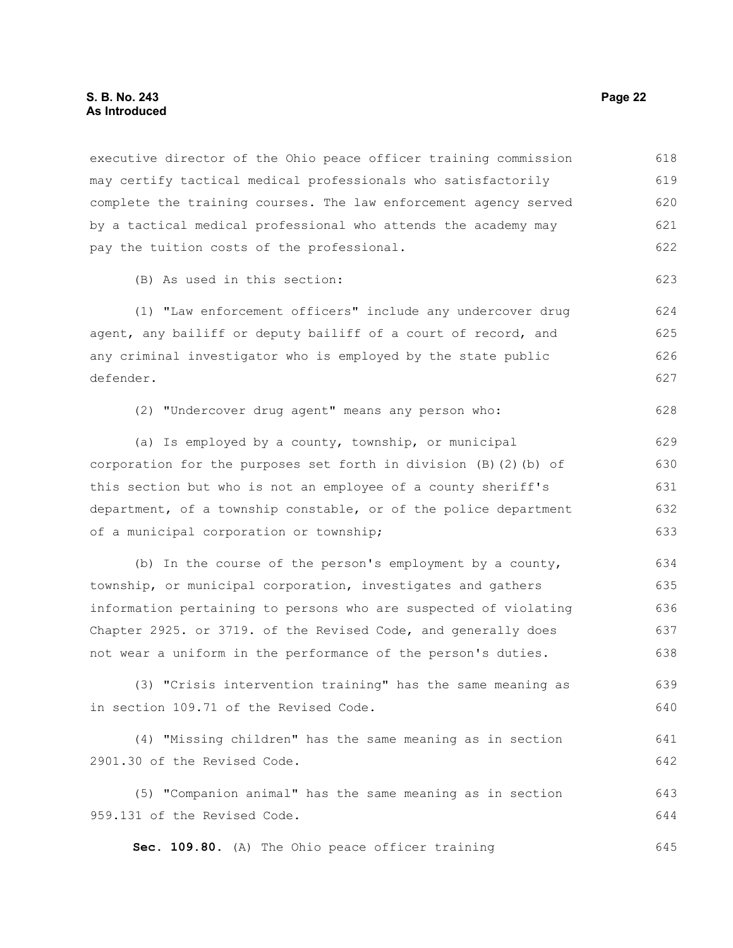#### **S. B. No. 243 Page 22 As Introduced**

executive director of the Ohio peace officer training commission may certify tactical medical professionals who satisfactorily complete the training courses. The law enforcement agency served by a tactical medical professional who attends the academy may pay the tuition costs of the professional. 618 619 620 621 622

(B) As used in this section:

(1) "Law enforcement officers" include any undercover drug agent, any bailiff or deputy bailiff of a court of record, and any criminal investigator who is employed by the state public defender.

(2) "Undercover drug agent" means any person who:

(a) Is employed by a county, township, or municipal corporation for the purposes set forth in division  $(B)$   $(2)$   $(b)$  of this section but who is not an employee of a county sheriff's department, of a township constable, or of the police department of a municipal corporation or township; 629 630 631 632 633

(b) In the course of the person's employment by a county, township, or municipal corporation, investigates and gathers information pertaining to persons who are suspected of violating Chapter 2925. or 3719. of the Revised Code, and generally does not wear a uniform in the performance of the person's duties. 634 635 636 637 638

(3) "Crisis intervention training" has the same meaning as in section 109.71 of the Revised Code. 639 640

(4) "Missing children" has the same meaning as in section 2901.30 of the Revised Code. 641 642

(5) "Companion animal" has the same meaning as in section 959.131 of the Revised Code. 643 644

**Sec. 109.80.** (A) The Ohio peace officer training

623

628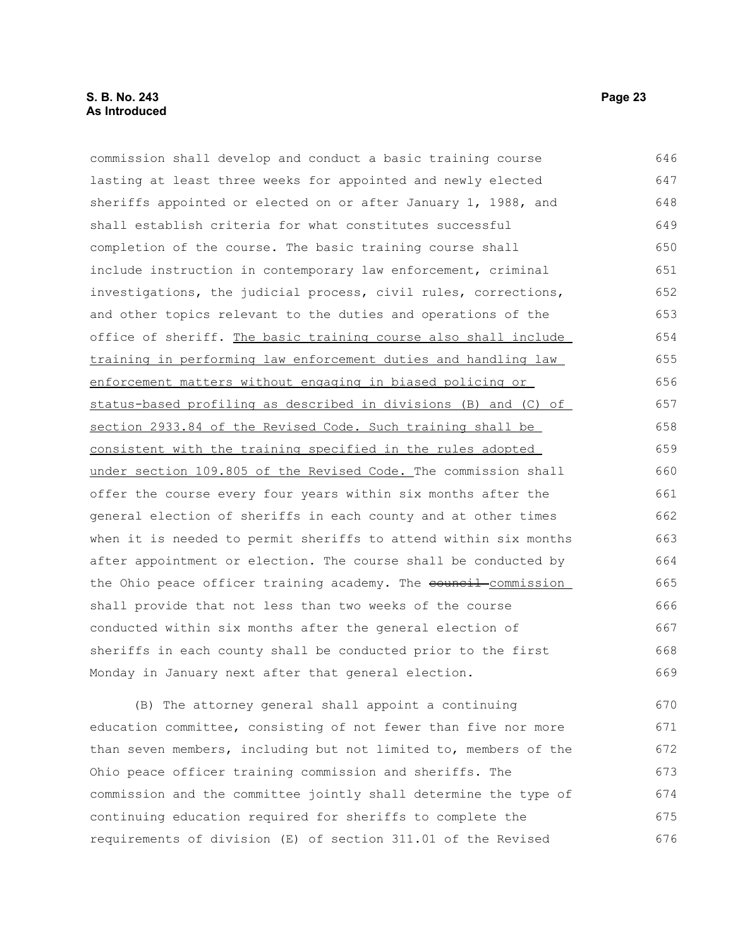#### **S. B. No. 243 Page 23 As Introduced**

commission shall develop and conduct a basic training course lasting at least three weeks for appointed and newly elected sheriffs appointed or elected on or after January 1, 1988, and shall establish criteria for what constitutes successful completion of the course. The basic training course shall include instruction in contemporary law enforcement, criminal investigations, the judicial process, civil rules, corrections, and other topics relevant to the duties and operations of the office of sheriff. The basic training course also shall include training in performing law enforcement duties and handling law enforcement matters without engaging in biased policing or status-based profiling as described in divisions (B) and (C) of section 2933.84 of the Revised Code. Such training shall be consistent with the training specified in the rules adopted under section 109.805 of the Revised Code. The commission shall offer the course every four years within six months after the general election of sheriffs in each county and at other times when it is needed to permit sheriffs to attend within six months after appointment or election. The course shall be conducted by the Ohio peace officer training academy. The eouncil commission shall provide that not less than two weeks of the course 646 647 648 649 650 651 652 653 654 655 656 657 658 659 660 661 662 663 664 665 666

conducted within six months after the general election of sheriffs in each county shall be conducted prior to the first Monday in January next after that general election. 667 668 669

(B) The attorney general shall appoint a continuing education committee, consisting of not fewer than five nor more than seven members, including but not limited to, members of the Ohio peace officer training commission and sheriffs. The commission and the committee jointly shall determine the type of continuing education required for sheriffs to complete the requirements of division (E) of section 311.01 of the Revised 670 671 672 673 674 675 676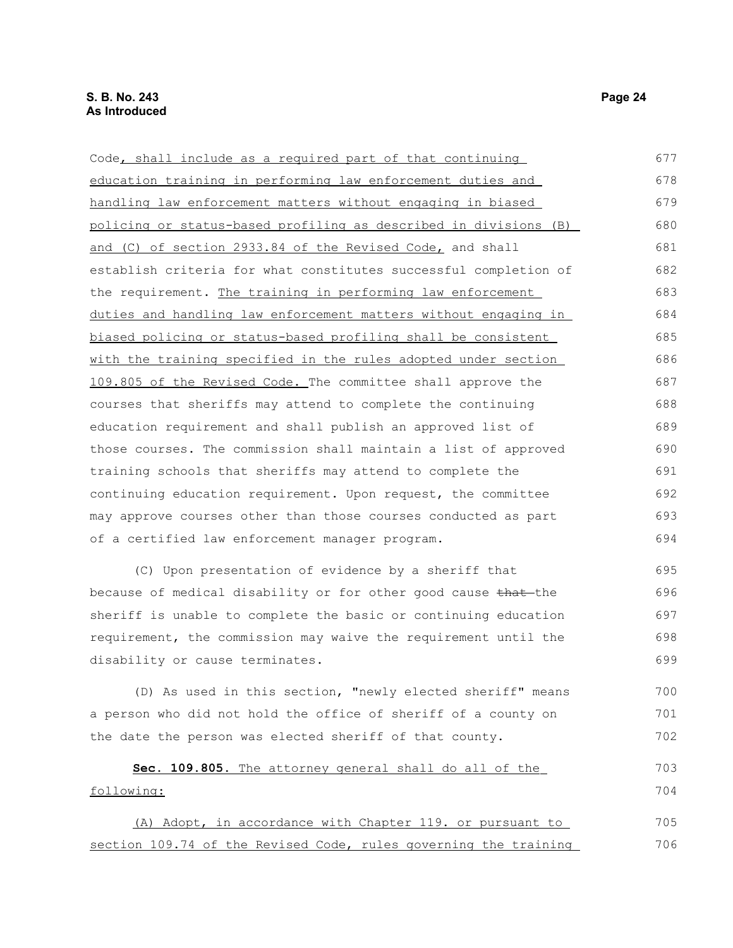| Code, shall include as a required part of that continuing        | 677 |
|------------------------------------------------------------------|-----|
| education training in performing law enforcement duties and      | 678 |
| handling law enforcement matters without engaging in biased      | 679 |
| policing or status-based profiling as described in divisions (B) | 680 |
| and (C) of section 2933.84 of the Revised Code, and shall        | 681 |
| establish criteria for what constitutes successful completion of | 682 |
| the requirement. The training in performing law enforcement      | 683 |
| duties and handling law enforcement matters without engaging in  | 684 |
| biased policing or status-based profiling shall be consistent    | 685 |
| with the training specified in the rules adopted under section   | 686 |
| 109.805 of the Revised Code. The committee shall approve the     | 687 |
| courses that sheriffs may attend to complete the continuing      | 688 |
| education requirement and shall publish an approved list of      | 689 |
| those courses. The commission shall maintain a list of approved  | 690 |
| training schools that sheriffs may attend to complete the        | 691 |
| continuing education requirement. Upon request, the committee    | 692 |
| may approve courses other than those courses conducted as part   | 693 |
| of a certified law enforcement manager program.                  | 694 |
| (C) Upon presentation of evidence by a sheriff that              | 695 |
| because of medical disability or for other good cause that the   | 696 |
| sheriff is unable to complete the basic or continuing education  | 697 |
| requirement, the commission may waive the requirement until the  | 698 |
| disability or cause terminates.                                  | 699 |
| (D) As used in this section, "newly elected sheriff" means       | 700 |
| a person who did not hold the office of sheriff of a county on   | 701 |
| the date the person was elected sheriff of that county.          | 702 |
| Sec. 109.805. The attorney general shall do all of the           | 703 |
| following:                                                       | 704 |
| (A) Adopt, in accordance with Chapter 119. or pursuant to        | 705 |

section 109.74 of the Revised Code, rules governing the training 705 706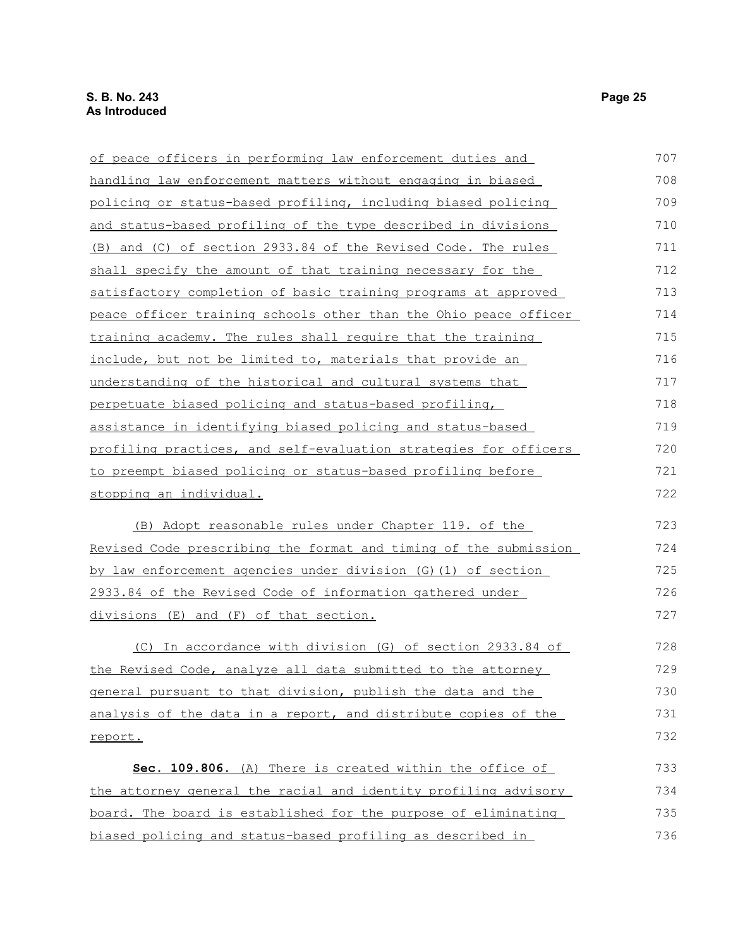| of peace officers in performing law enforcement duties and           | 707 |
|----------------------------------------------------------------------|-----|
| handling law enforcement matters without engaging in biased          | 708 |
| policing or status-based profiling, including biased policing        | 709 |
| <u>and status-based profiling of the type described in divisions</u> | 710 |
| (B) and (C) of section 2933.84 of the Revised Code. The rules        | 711 |
| shall specify the amount of that training necessary for the          | 712 |
| satisfactory completion of basic training programs at approved       | 713 |
| peace officer training schools other than the Ohio peace officer     | 714 |
| training academy. The rules shall require that the training          | 715 |
| include, but not be limited to, materials that provide an            | 716 |
| understanding of the historical and cultural systems that            | 717 |
| perpetuate biased policing and status-based profiling,               | 718 |
| assistance in identifying biased policing and status-based           | 719 |
| profiling practices, and self-evaluation strategies for officers     | 720 |
| to preempt biased policing or status-based profiling before          | 721 |
| stopping an individual.                                              | 722 |
| (B) Adopt reasonable rules under Chapter 119. of the                 | 723 |
| Revised Code prescribing the format and timing of the submission     | 724 |
| by law enforcement agencies under division (G) (1) of section        | 725 |
| 2933.84 of the Revised Code of information gathered under            | 726 |
| divisions (E) and (F) of that section.                               | 727 |
| (C) In accordance with division (G) of section 2933.84 of            | 728 |
| the Revised Code, analyze all data submitted to the attorney         | 729 |
| general pursuant to that division, publish the data and the          | 730 |
| analysis of the data in a report, and distribute copies of the       | 731 |
| report.                                                              | 732 |
| Sec. 109.806. (A) There is created within the office of              | 733 |
| the attorney general the racial and identity profiling advisory      | 734 |
| board. The board is established for the purpose of eliminating       | 735 |
| biased policing and status-based profiling as described in           | 736 |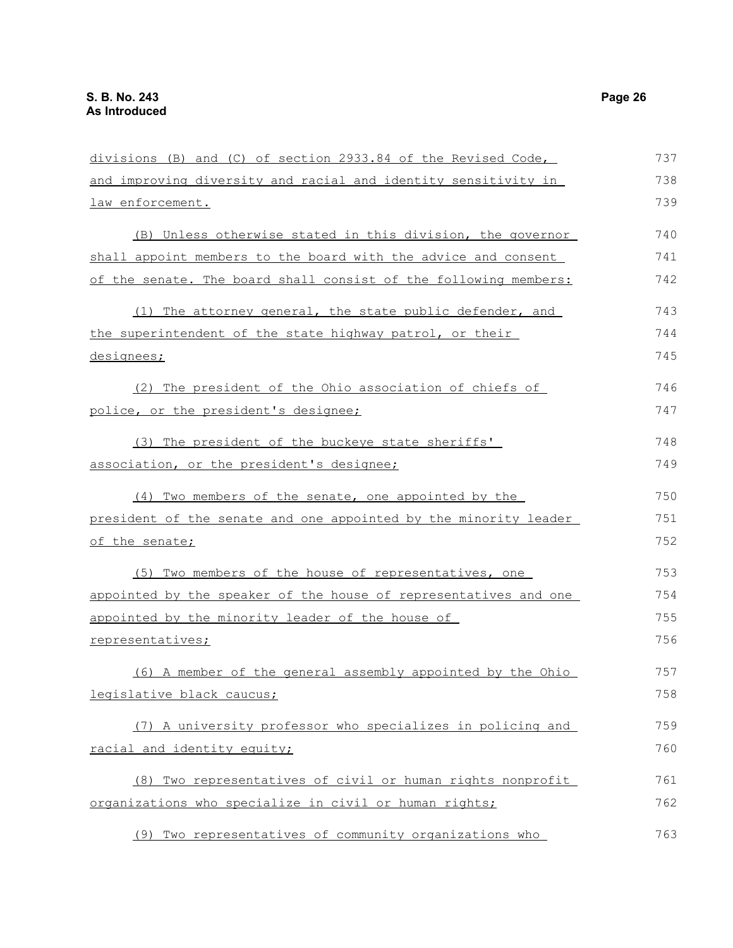divisions (B) and (C) of section 2933.84 of the Revised Code, and improving diversity and racial and identity sensitivity in law enforcement. (B) Unless otherwise stated in this division, the governor shall appoint members to the board with the advice and consent of the senate. The board shall consist of the following members: (1) The attorney general, the state public defender, and the superintendent of the state highway patrol, or their designees; (2) The president of the Ohio association of chiefs of police, or the president's designee; (3) The president of the buckeye state sheriffs' association, or the president's designee; (4) Two members of the senate, one appointed by the president of the senate and one appointed by the minority leader of the senate; (5) Two members of the house of representatives, one appointed by the speaker of the house of representatives and one appointed by the minority leader of the house of representatives; (6) A member of the general assembly appointed by the Ohio legislative black caucus; (7) A university professor who specializes in policing and racial and identity equity; (8) Two representatives of civil or human rights nonprofit organizations who specialize in civil or human rights; (9) Two representatives of community organizations who 737 738 739 740 741 742 743 744 745 746 747 748 749 750 751 752 753 754 755 756 757 758 759 760 761 762 763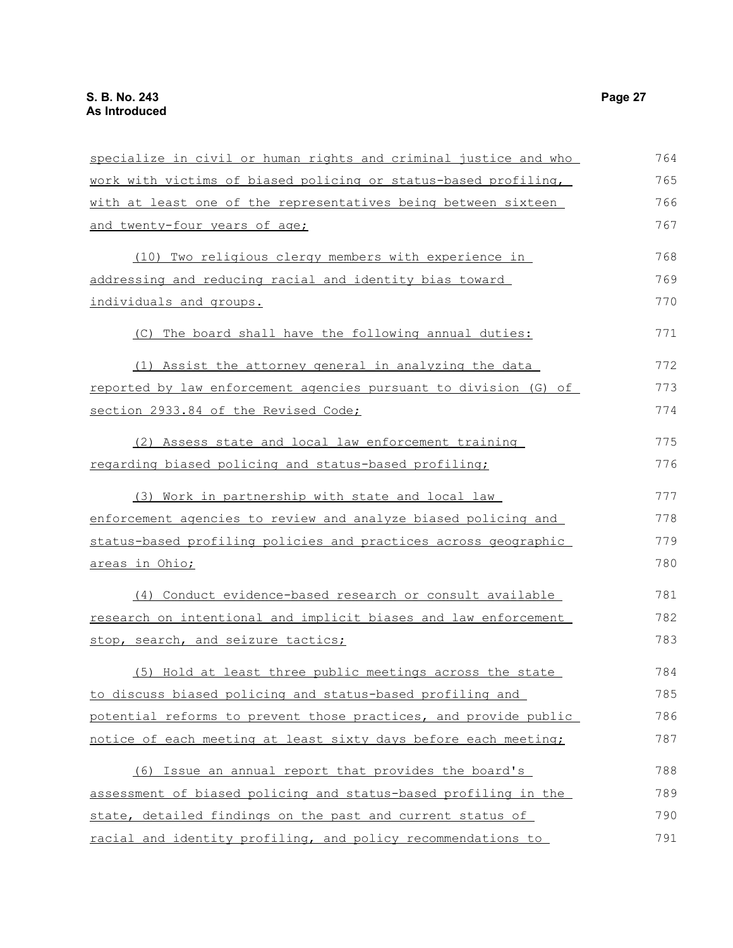| specialize in civil or human rights and criminal justice and who | 764 |
|------------------------------------------------------------------|-----|
| work with victims of biased policing or status-based profiling,  | 765 |
| with at least one of the representatives being between sixteen   | 766 |
| and twenty-four years of age;                                    | 767 |
| (10) Two religious clergy members with experience in             | 768 |
| addressing and reducing racial and identity bias toward          | 769 |
| individuals and groups.                                          | 770 |
| (C) The board shall have the following annual duties:            | 771 |
| (1) Assist the attorney general in analyzing the data            | 772 |
| reported by law enforcement agencies pursuant to division (G) of | 773 |
| section 2933.84 of the Revised Code;                             | 774 |
| (2) Assess state and local law enforcement training              | 775 |
| regarding biased policing and status-based profiling;            | 776 |
| (3) Work in partnership with state and local law                 | 777 |
| enforcement agencies to review and analyze biased policing and   | 778 |
| status-based profiling policies and practices across geographic  | 779 |
| <u>areas in Ohio;</u>                                            | 780 |
| (4) Conduct evidence-based research or consult available         | 781 |
| research on intentional and implicit biases and law enforcement  | 782 |
| stop, search, and seizure tactics;                               | 783 |
| (5) Hold at least three public meetings across the state         | 784 |
| to discuss biased policing and status-based profiling and        | 785 |
| potential reforms to prevent those practices, and provide public | 786 |
| notice of each meeting at least sixty days before each meeting;  | 787 |
| (6) Issue an annual report that provides the board's             | 788 |
| assessment of biased policing and status-based profiling in the  | 789 |
| state, detailed findings on the past and current status of       | 790 |
| racial and identity profiling, and policy recommendations to     | 791 |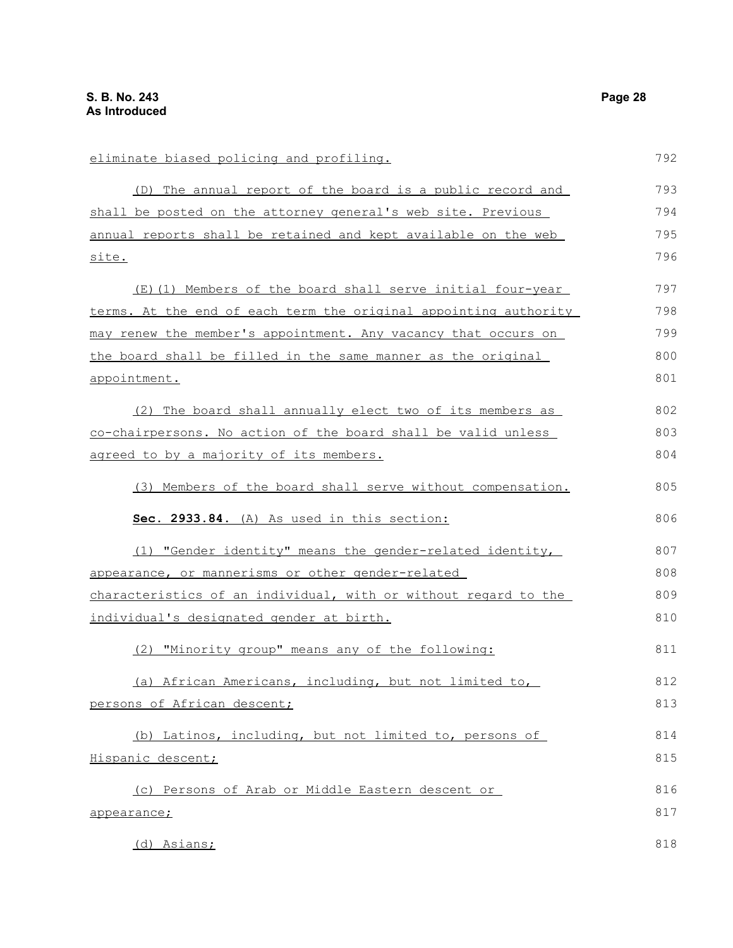| eliminate biased policing and profiling.                         | 792 |
|------------------------------------------------------------------|-----|
| (D) The annual report of the board is a public record and        | 793 |
| shall be posted on the attorney general's web site. Previous     | 794 |
| annual reports shall be retained and kept available on the web   | 795 |
| site.                                                            | 796 |
| (E)(1) Members of the board shall serve initial four-year        | 797 |
| terms. At the end of each term the original appointing authority | 798 |
| may renew the member's appointment. Any vacancy that occurs on   | 799 |
| the board shall be filled in the same manner as the original     | 800 |
| appointment.                                                     | 801 |
| (2) The board shall annually elect two of its members as         | 802 |
| co-chairpersons. No action of the board shall be valid unless    | 803 |
| agreed to by a majority of its members.                          | 804 |
| (3) Members of the board shall serve without compensation.       | 805 |
| Sec. 2933.84. (A) As used in this section:                       | 806 |
| (1) "Gender identity" means the gender-related identity,         | 807 |
| appearance, or mannerisms or other gender-related                | 808 |
| characteristics of an individual, with or without regard to the  | 809 |
| individual's designated gender at birth.                         | 810 |
| (2) "Minority group" means any of the following:                 | 811 |
| (a) African Americans, including, but not limited to,            | 812 |
| persons of African descent;                                      | 813 |
| (b) Latinos, including, but not limited to, persons of           | 814 |
| Hispanic descent;                                                | 815 |
| (c) Persons of Arab or Middle Eastern descent or                 | 816 |
| appearance;                                                      | 817 |
| (d) Asians;                                                      | 818 |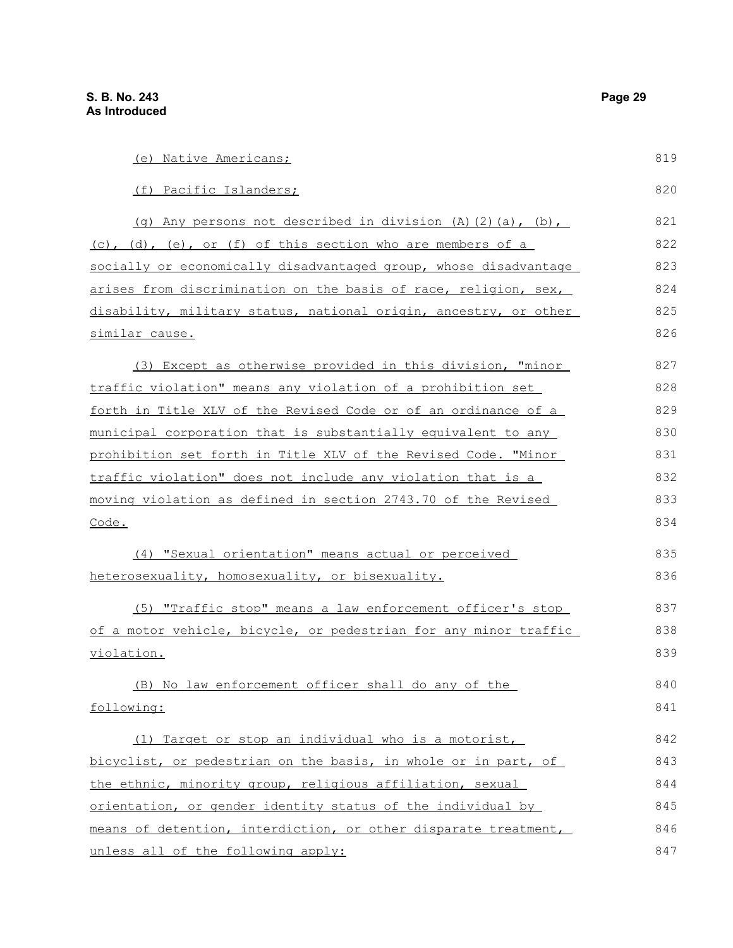similar cause.

Code.

(e) Native Americans; (f) Pacific Islanders; (g) Any persons not described in division  $(A)$   $(2)$   $(a)$ ,  $(b)$ , (c), (d), (e), or (f) of this section who are members of a socially or economically disadvantaged group, whose disadvantage arises from discrimination on the basis of race, religion, sex, disability, military status, national origin, ancestry, or other (3) Except as otherwise provided in this division, "minor traffic violation" means any violation of a prohibition set forth in Title XLV of the Revised Code or of an ordinance of a municipal corporation that is substantially equivalent to any prohibition set forth in Title XLV of the Revised Code. "Minor traffic violation" does not include any violation that is a moving violation as defined in section 2743.70 of the Revised (4) "Sexual orientation" means actual or perceived heterosexuality, homosexuality, or bisexuality. 819 820 821 822 823 824 825 826 827 828 829 830 831 832 833 834 835 836

(5) "Traffic stop" means a law enforcement officer's stop of a motor vehicle, bicycle, or pedestrian for any minor traffic violation. 837 838 839

(B) No law enforcement officer shall do any of the following: 840 841

 (1) Target or stop an individual who is a motorist, bicyclist, or pedestrian on the basis, in whole or in part, of the ethnic, minority group, religious affiliation, sexual orientation, or gender identity status of the individual by means of detention, interdiction, or other disparate treatment, unless all of the following apply: 842 843 844 845 846 847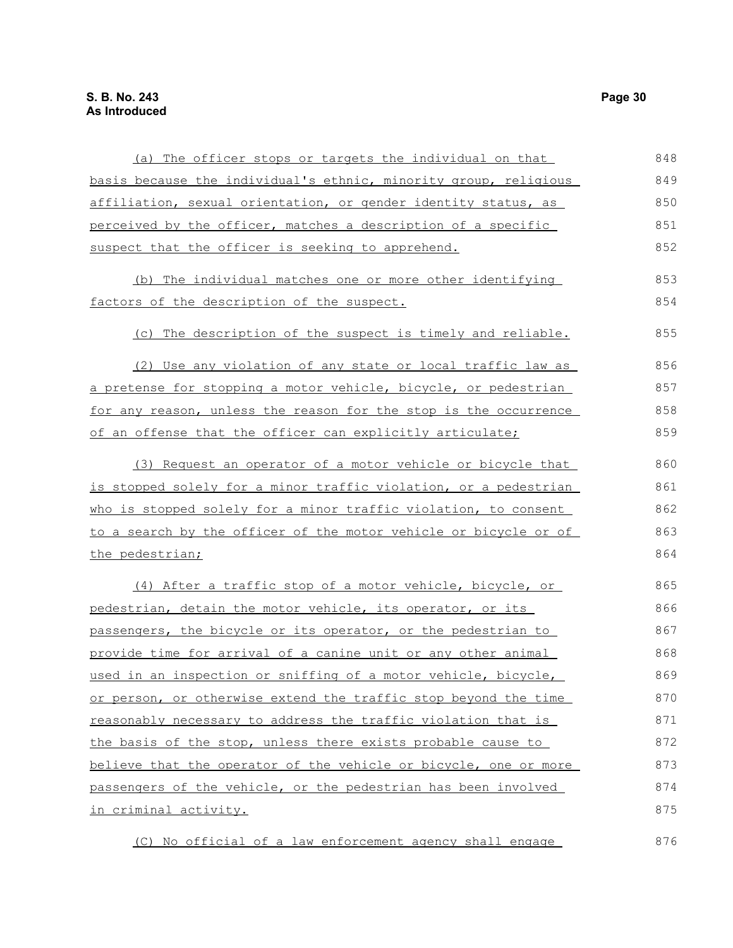| (a) The officer stops or targets the individual on that          | 848 |
|------------------------------------------------------------------|-----|
| basis because the individual's ethnic, minority group, religious | 849 |
| affiliation, sexual orientation, or gender identity status, as   | 850 |
| perceived by the officer, matches a description of a specific    | 851 |
| suspect that the officer is seeking to apprehend.                | 852 |
| (b) The individual matches one or more other identifying         | 853 |
| factors of the description of the suspect.                       | 854 |
| (c) The description of the suspect is timely and reliable.       | 855 |
| (2) Use any violation of any state or local traffic law as       | 856 |
| a pretense for stopping a motor vehicle, bicycle, or pedestrian  | 857 |
| for any reason, unless the reason for the stop is the occurrence | 858 |
| of an offense that the officer can explicitly articulate;        | 859 |
| (3) Request an operator of a motor vehicle or bicycle that       | 860 |
| is stopped solely for a minor traffic violation, or a pedestrian | 861 |
| who is stopped solely for a minor traffic violation, to consent  | 862 |
| to a search by the officer of the motor vehicle or bicycle or of | 863 |
| the pedestrian;                                                  | 864 |
| (4) After a traffic stop of a motor vehicle, bicycle, or         | 865 |
| pedestrian, detain the motor vehicle, its operator, or its       | 866 |
| passengers, the bicycle or its operator, or the pedestrian to    | 867 |
| provide time for arrival of a canine unit or any other animal    | 868 |
| used in an inspection or sniffing of a motor vehicle, bicycle,   | 869 |
| or person, or otherwise extend the traffic stop beyond the time  | 870 |
| reasonably necessary to address the traffic violation that is    | 871 |
| the basis of the stop, unless there exists probable cause to     | 872 |
| believe that the operator of the vehicle or bicycle, one or more | 873 |
| passengers of the vehicle, or the pedestrian has been involved   | 874 |
| in criminal activity.                                            | 875 |
| (C) No official of a law enforcement agency shall engage         | 876 |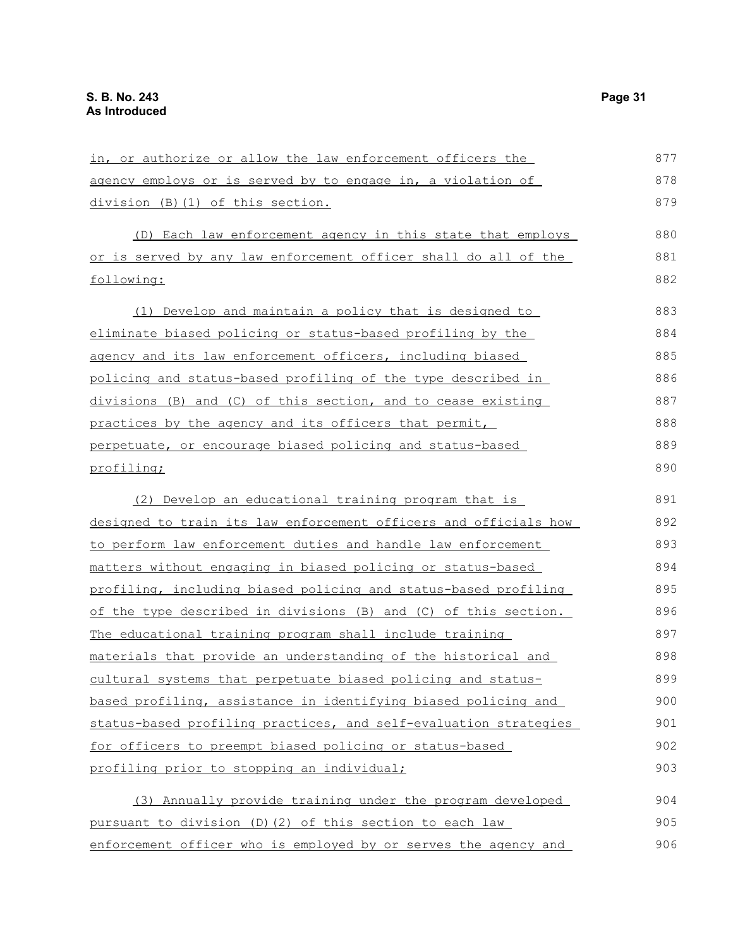| in, or authorize or allow the law enforcement officers the       | 877 |
|------------------------------------------------------------------|-----|
| agency employs or is served by to engage in, a violation of      | 878 |
| division (B) (1) of this section.                                | 879 |
| (D) Each law enforcement agency in this state that employs       | 880 |
| or is served by any law enforcement officer shall do all of the  | 881 |
| following:                                                       | 882 |
| (1) Develop and maintain a policy that is designed to            | 883 |
| eliminate biased policing or status-based profiling by the       | 884 |
| agency and its law enforcement officers, including biased        | 885 |
| policing and status-based profiling of the type described in     | 886 |
| divisions (B) and (C) of this section, and to cease existing     | 887 |
| practices by the agency and its officers that permit,            | 888 |
| perpetuate, or encourage biased policing and status-based        | 889 |
| profiling;                                                       | 890 |
| (2) Develop an educational training program that is              | 891 |
| designed to train its law enforcement officers and officials how | 892 |
| to perform law enforcement duties and handle law enforcement     | 893 |
| matters without engaging in biased policing or status-based      | 894 |
| profiling, including biased policing and status-based profiling  | 895 |
| of the type described in divisions (B) and (C) of this section.  | 896 |
| The educational training program shall include training          | 897 |
| materials that provide an understanding of the historical and    | 898 |
| cultural systems that perpetuate biased policing and status-     | 899 |
| based profiling, assistance in identifying biased policing and   | 900 |
| status-based profiling practices, and self-evaluation strategies | 901 |
| for officers to preempt biased policing or status-based          | 902 |
| profiling prior to stopping an individual;                       | 903 |
| (3) Annually provide training under the program developed        | 904 |
| pursuant to division (D)(2) of this section to each law          | 905 |
| enforcement officer who is employed by or serves the agency and  | 906 |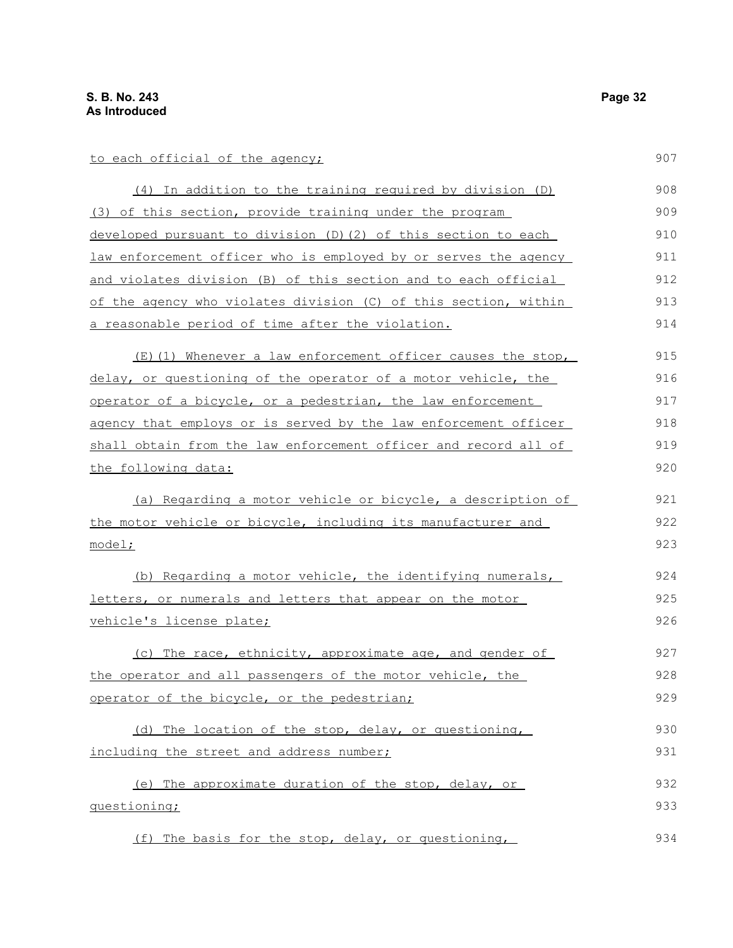| to each official of the agency;                                 | 907 |
|-----------------------------------------------------------------|-----|
| $(4)$ In addition to the training required by division $(D)$    | 908 |
| (3) of this section, provide training under the program         | 909 |
| developed pursuant to division (D) (2) of this section to each  | 910 |
| law enforcement officer who is employed by or serves the agency | 911 |
| and violates division (B) of this section and to each official  | 912 |
| of the agency who violates division (C) of this section, within | 913 |
| a reasonable period of time after the violation.                | 914 |
| (E)(1) Whenever a law enforcement officer causes the stop,      | 915 |
| delay, or questioning of the operator of a motor vehicle, the   | 916 |
| operator of a bicycle, or a pedestrian, the law enforcement     | 917 |
| agency that employs or is served by the law enforcement officer | 918 |
| shall obtain from the law enforcement officer and record all of | 919 |
| <u>the following data:</u>                                      | 920 |
| (a) Regarding a motor vehicle or bicycle, a description of      | 921 |
| the motor vehicle or bicycle, including its manufacturer and    | 922 |
| model;                                                          | 923 |
| (b) Regarding a motor vehicle, the identifying numerals,        | 924 |
| letters, or numerals and letters that appear on the motor       | 925 |
| vehicle's license plate;                                        | 926 |
| (c) The race, ethnicity, approximate age, and gender of         | 927 |
| the operator and all passengers of the motor vehicle, the       | 928 |
| operator of the bicycle, or the pedestrian;                     | 929 |
| (d) The location of the stop, delay, or questioning,            | 930 |
| including the street and address number;                        | 931 |
| (e) The approximate duration of the stop, delay, or             | 932 |
| questioning;                                                    | 933 |
| (f) The basis for the stop, delay, or questioning,              | 934 |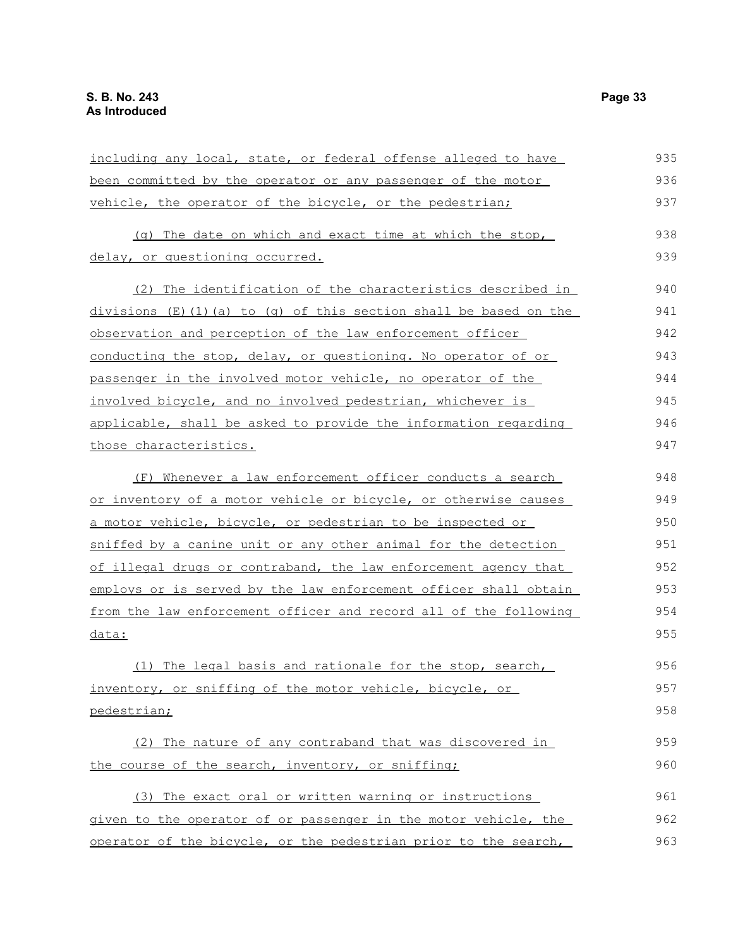| including any local, state, or federal offense alleged to have     | 935 |
|--------------------------------------------------------------------|-----|
| been committed by the operator or any passenger of the motor       | 936 |
| vehicle, the operator of the bicycle, or the pedestrian;           | 937 |
| (g) The date on which and exact time at which the stop,            | 938 |
| delay, or questioning occurred.                                    | 939 |
| (2) The identification of the characteristics described in         | 940 |
| $divisions$ (E)(1)(a) to (q) of this section shall be based on the | 941 |
| observation and perception of the law enforcement officer          | 942 |
| conducting the stop, delay, or questioning. No operator of or      | 943 |
| passenger in the involved motor vehicle, no operator of the        | 944 |
| involved bicycle, and no involved pedestrian, whichever is         | 945 |
| applicable, shall be asked to provide the information regarding    | 946 |
| those characteristics.                                             | 947 |
| (F) Whenever a law enforcement officer conducts a search           | 948 |
| or inventory of a motor vehicle or bicycle, or otherwise causes    | 949 |
| a motor vehicle, bicycle, or pedestrian to be inspected or         | 950 |
| sniffed by a canine unit or any other animal for the detection     | 951 |
| of illegal drugs or contraband, the law enforcement agency that    | 952 |
| employs or is served by the law enforcement officer shall obtain   | 953 |
| from the law enforcement officer and record all of the following   | 954 |
| data:                                                              | 955 |
| (1) The legal basis and rationale for the stop, search,            | 956 |
| inventory, or sniffing of the motor vehicle, bicycle, or           | 957 |
| pedestrian;                                                        | 958 |
| (2) The nature of any contraband that was discovered in            | 959 |
| the course of the search, inventory, or sniffing;                  | 960 |
| (3) The exact oral or written warning or instructions              | 961 |
| given to the operator of or passenger in the motor vehicle, the    | 962 |
| operator of the bicycle, or the pedestrian prior to the search,    | 963 |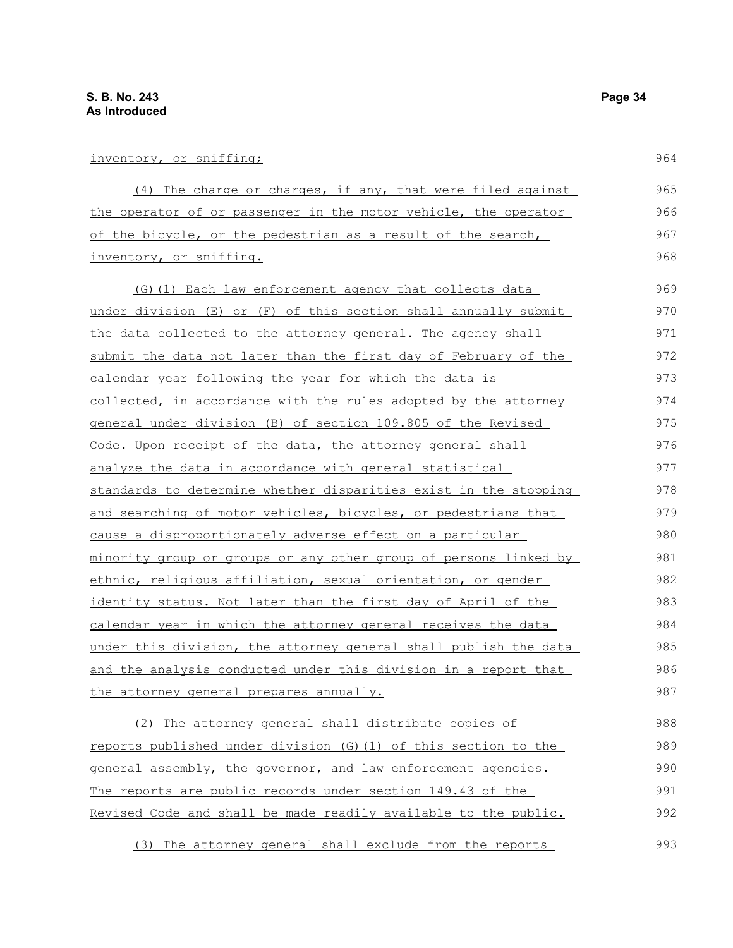| inventory, or sniffing;                                                  | 964 |
|--------------------------------------------------------------------------|-----|
| (4) The charge or charges, if any, that were filed against               | 965 |
| the operator of or passenger in the motor vehicle, the operator          | 966 |
| of the bicycle, or the pedestrian as a result of the search,             | 967 |
| inventory, or sniffing.                                                  | 968 |
| (G) (1) Each law enforcement agency that collects data                   | 969 |
| under division (E) or (F) of this section shall annually submit          | 970 |
| the data collected to the attorney general. The agency shall             | 971 |
| <u>submit the data not later than the first day of February of the</u>   | 972 |
| calendar year following the year for which the data is                   | 973 |
| collected, in accordance with the rules adopted by the attorney          | 974 |
| general under division (B) of section 109.805 of the Revised             | 975 |
| Code. Upon receipt of the data, the attorney general shall               | 976 |
| analyze the data in accordance with general statistical                  | 977 |
| standards to determine whether disparities exist in the stopping         | 978 |
| and searching of motor vehicles, bicycles, or pedestrians that           | 979 |
| cause a disproportionately adverse effect on a particular                | 980 |
| <u>minority group or groups or any other group of persons linked by </u> | 981 |
| ethnic, religious affiliation, sexual orientation, or gender             | 982 |
| <u>identity status. Not later than the first day of April of the</u>     | 983 |
| calendar year in which the attorney general receives the data            | 984 |
| <u>under this division, the attorney general shall publish the data </u> | 985 |
| <u>and the analysis conducted under this division in a report that</u>   | 986 |
| the attorney general prepares annually.                                  | 987 |
| The attorney general shall distribute copies of<br>(2)                   | 988 |
| reports published under division (G) (1) of this section to the          | 989 |
| general assembly, the governor, and law enforcement agencies.            | 990 |
| The reports are public records under section 149.43 of the               | 991 |

Revised Code and shall be made readily available to the public. 992

(3) The attorney general shall exclude from the reports 993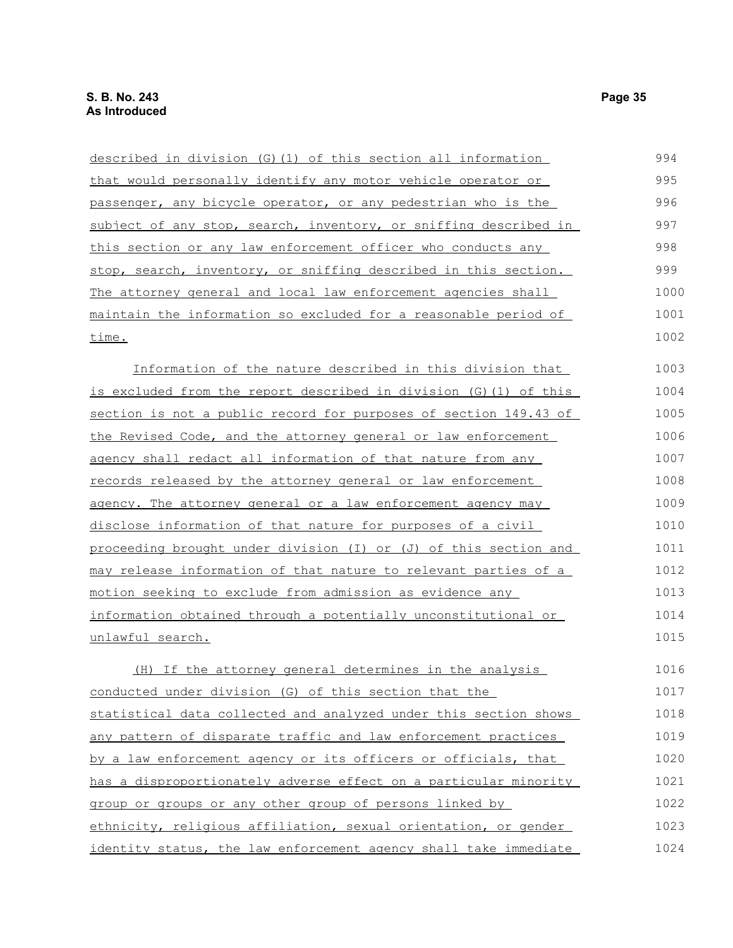| described in division (G)(1) of this section all information      | 994  |
|-------------------------------------------------------------------|------|
| that would personally identify any motor vehicle operator or      | 995  |
| passenger, any bicycle operator, or any pedestrian who is the     | 996  |
| subject of any stop, search, inventory, or sniffing described in  | 997  |
| this section or any law enforcement officer who conducts any      | 998  |
| stop, search, inventory, or sniffing described in this section.   | 999  |
| The attorney general and local law enforcement agencies shall     | 1000 |
| maintain the information so excluded for a reasonable period of   | 1001 |
| time.                                                             | 1002 |
| Information of the nature described in this division that         | 1003 |
| is excluded from the report described in division (G) (1) of this | 1004 |
| section is not a public record for purposes of section 149.43 of  | 1005 |
| the Revised Code, and the attorney general or law enforcement     | 1006 |
| agency shall redact all information of that nature from any       | 1007 |
| records released by the attorney general or law enforcement       | 1008 |
| agency. The attorney general or a law enforcement agency may      | 1009 |
| disclose information of that nature for purposes of a civil       | 1010 |
| proceeding brought under division (I) or (J) of this section and  | 1011 |
| may release information of that nature to relevant parties of a   | 1012 |
| motion seeking to exclude from admission as evidence any          | 1013 |
| information obtained through a potentially unconstitutional or    | 1014 |
| unlawful search.                                                  | 1015 |
| (H) If the attorney general determines in the analysis            | 1016 |
| conducted under division (G) of this section that the             | 1017 |
| statistical data collected and analyzed under this section shows  | 1018 |
| any pattern of disparate traffic and law enforcement practices    | 1019 |
| by a law enforcement agency or its officers or officials, that    | 1020 |
| has a disproportionately adverse effect on a particular minority  | 1021 |
| group or groups or any other group of persons linked by           | 1022 |
| ethnicity, religious affiliation, sexual orientation, or gender   | 1023 |
| identity status, the law enforcement agency shall take immediate  | 1024 |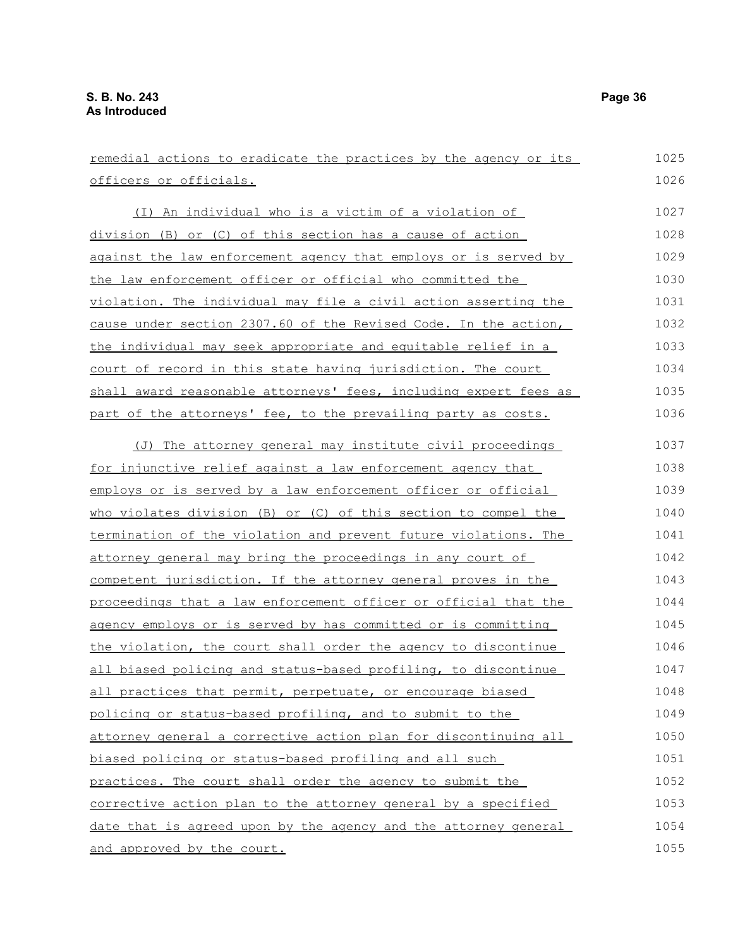remedial actions to eradicate the practices by the agency or its officers or officials. (I) An individual who is a victim of a violation of division (B) or (C) of this section has a cause of action against the law enforcement agency that employs or is served by the law enforcement officer or official who committed the violation. The individual may file a civil action asserting the cause under section 2307.60 of the Revised Code. In the action, the individual may seek appropriate and equitable relief in a court of record in this state having jurisdiction. The court shall award reasonable attorneys' fees, including expert fees as part of the attorneys' fee, to the prevailing party as costs. (J) The attorney general may institute civil proceedings for injunctive relief against a law enforcement agency that employs or is served by a law enforcement officer or official who violates division (B) or (C) of this section to compel the termination of the violation and prevent future violations. The attorney general may bring the proceedings in any court of competent jurisdiction. If the attorney general proves in the proceedings that a law enforcement officer or official that the agency employs or is served by has committed or is committing the violation, the court shall order the agency to discontinue all biased policing and status-based profiling, to discontinue all practices that permit, perpetuate, or encourage biased policing or status-based profiling, and to submit to the attorney general a corrective action plan for discontinuing all biased policing or status-based profiling and all such practices. The court shall order the agency to submit the corrective action plan to the attorney general by a specified date that is agreed upon by the agency and the attorney general and approved by the court. 1025 1026 1027 1028 1029 1030 1031 1032 1033 1034 1035 1036 1037 1038 1039 1040 1041 1042 1043 1044 1045 1046 1047 1048 1049 1050 1051 1052 1053 1054 1055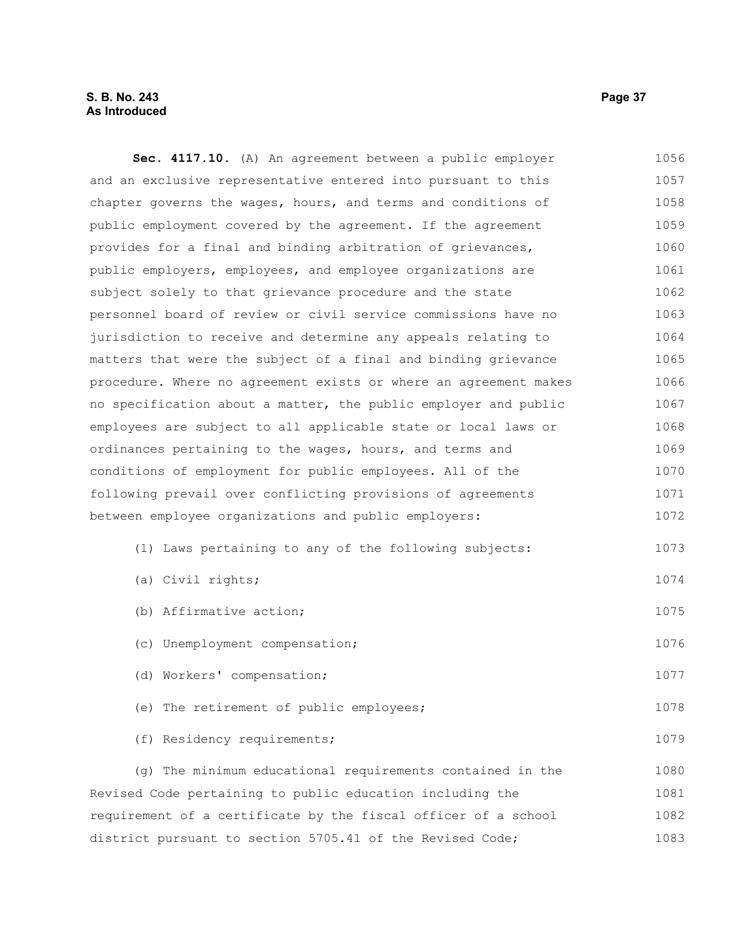## **S. B. No. 243 Page 37 As Introduced**

**Sec. 4117.10.** (A) An agreement between a public employer and an exclusive representative entered into pursuant to this chapter governs the wages, hours, and terms and conditions of public employment covered by the agreement. If the agreement provides for a final and binding arbitration of grievances, public employers, employees, and employee organizations are subject solely to that grievance procedure and the state personnel board of review or civil service commissions have no jurisdiction to receive and determine any appeals relating to matters that were the subject of a final and binding grievance procedure. Where no agreement exists or where an agreement makes no specification about a matter, the public employer and public employees are subject to all applicable state or local laws or ordinances pertaining to the wages, hours, and terms and conditions of employment for public employees. All of the following prevail over conflicting provisions of agreements between employee organizations and public employers: (1) Laws pertaining to any of the following subjects: (a) Civil rights; (b) Affirmative action; (c) Unemployment compensation; (d) Workers' compensation; (e) The retirement of public employees; (f) Residency requirements; 1056 1057 1058 1059 1060 1061 1062 1063 1064 1065 1066 1067 1068 1069 1070 1071 1072 1073 1074 1075 1076 1077 1078 1079

(g) The minimum educational requirements contained in the Revised Code pertaining to public education including the requirement of a certificate by the fiscal officer of a school district pursuant to section 5705.41 of the Revised Code; 1080 1081 1082 1083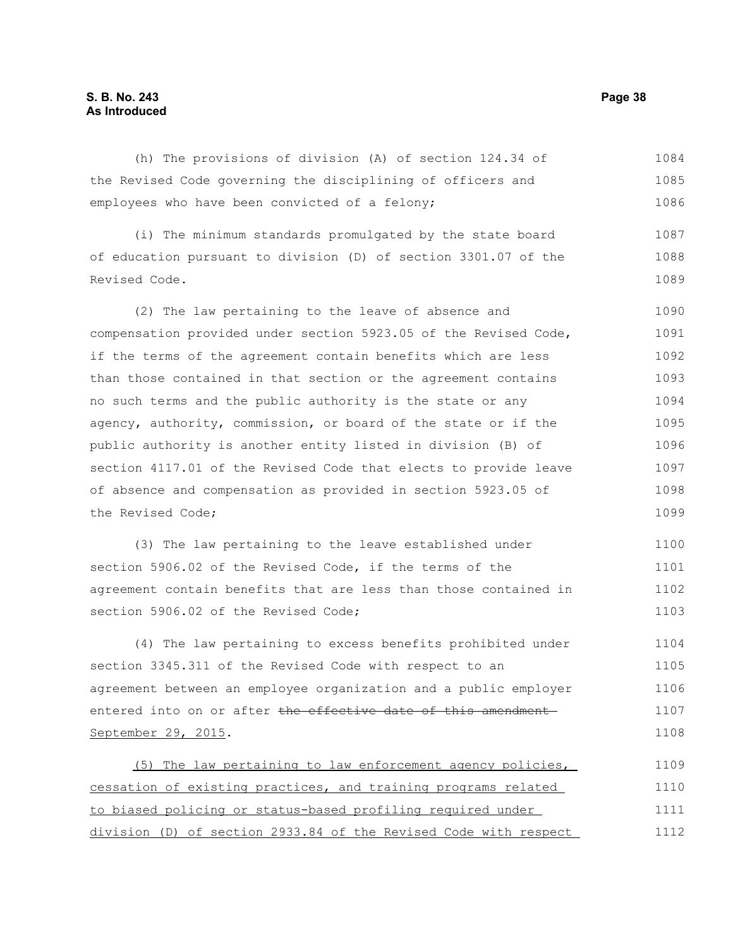## **S. B. No. 243 Page 38 As Introduced**

(h) The provisions of division (A) of section 124.34 of the Revised Code governing the disciplining of officers and employees who have been convicted of a felony; 1084 1085 1086

(i) The minimum standards promulgated by the state board of education pursuant to division (D) of section 3301.07 of the Revised Code. 1087 1088 1089

(2) The law pertaining to the leave of absence and compensation provided under section 5923.05 of the Revised Code, if the terms of the agreement contain benefits which are less than those contained in that section or the agreement contains no such terms and the public authority is the state or any agency, authority, commission, or board of the state or if the public authority is another entity listed in division (B) of section 4117.01 of the Revised Code that elects to provide leave of absence and compensation as provided in section 5923.05 of the Revised Code; 1090 1091 1092 1093 1094 1095 1096 1097 1098 1099

(3) The law pertaining to the leave established under section 5906.02 of the Revised Code, if the terms of the agreement contain benefits that are less than those contained in section 5906.02 of the Revised Code; 1100 1101 1102 1103

(4) The law pertaining to excess benefits prohibited under section 3345.311 of the Revised Code with respect to an agreement between an employee organization and a public employer entered into on or after the effective date of this amendment September 29, 2015. 1104 1105 1106 1107 1108

(5) The law pertaining to law enforcement agency policies, cessation of existing practices, and training programs related to biased policing or status-based profiling required under division (D) of section 2933.84 of the Revised Code with respect 1109 1110 1111 1112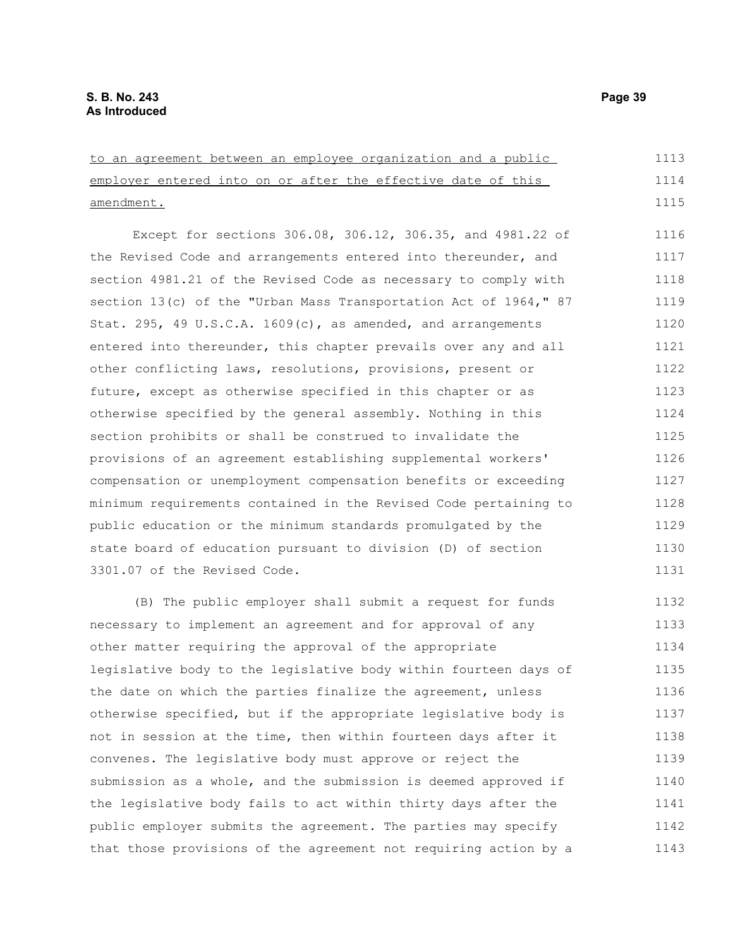amendment.

to an agreement between an employee organization and a public employer entered into on or after the effective date of this Except for sections 306.08, 306.12, 306.35, and 4981.22 of the Revised Code and arrangements entered into thereunder, and section 4981.21 of the Revised Code as necessary to comply with section 13(c) of the "Urban Mass Transportation Act of 1964," 87 Stat. 295, 49 U.S.C.A. 1609(c), as amended, and arrangements entered into thereunder, this chapter prevails over any and all 1113 1114 1115 1116 1117 1118 1119 1120 1121

other conflicting laws, resolutions, provisions, present or future, except as otherwise specified in this chapter or as otherwise specified by the general assembly. Nothing in this section prohibits or shall be construed to invalidate the provisions of an agreement establishing supplemental workers' compensation or unemployment compensation benefits or exceeding minimum requirements contained in the Revised Code pertaining to public education or the minimum standards promulgated by the state board of education pursuant to division (D) of section 3301.07 of the Revised Code. 1122 1123 1124 1125 1126 1127 1128 1129 1130 1131

(B) The public employer shall submit a request for funds necessary to implement an agreement and for approval of any other matter requiring the approval of the appropriate legislative body to the legislative body within fourteen days of the date on which the parties finalize the agreement, unless otherwise specified, but if the appropriate legislative body is not in session at the time, then within fourteen days after it convenes. The legislative body must approve or reject the submission as a whole, and the submission is deemed approved if the legislative body fails to act within thirty days after the public employer submits the agreement. The parties may specify that those provisions of the agreement not requiring action by a 1132 1133 1134 1135 1136 1137 1138 1139 1140 1141 1142 1143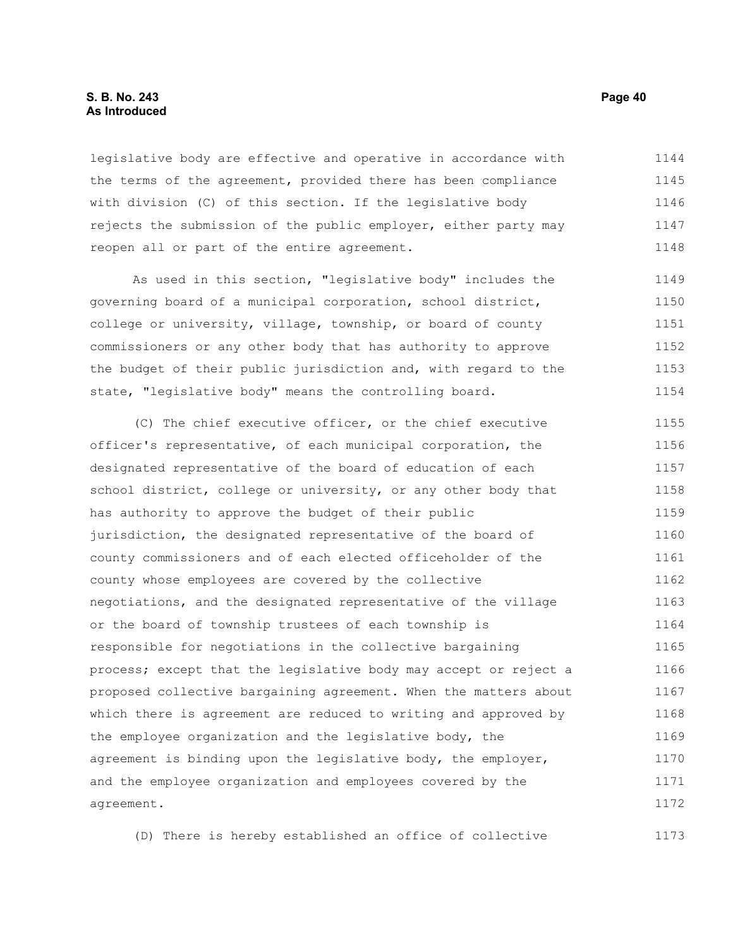#### **S. B. No. 243 Page 40 As Introduced**

legislative body are effective and operative in accordance with the terms of the agreement, provided there has been compliance with division (C) of this section. If the legislative body rejects the submission of the public employer, either party may reopen all or part of the entire agreement. 1144 1145 1146 1147 1148

As used in this section, "legislative body" includes the governing board of a municipal corporation, school district, college or university, village, township, or board of county commissioners or any other body that has authority to approve the budget of their public jurisdiction and, with regard to the state, "legislative body" means the controlling board. 1149 1150 1151 1152 1153 1154

(C) The chief executive officer, or the chief executive officer's representative, of each municipal corporation, the designated representative of the board of education of each school district, college or university, or any other body that has authority to approve the budget of their public jurisdiction, the designated representative of the board of county commissioners and of each elected officeholder of the county whose employees are covered by the collective negotiations, and the designated representative of the village or the board of township trustees of each township is responsible for negotiations in the collective bargaining process; except that the legislative body may accept or reject a proposed collective bargaining agreement. When the matters about which there is agreement are reduced to writing and approved by the employee organization and the legislative body, the agreement is binding upon the legislative body, the employer, and the employee organization and employees covered by the agreement. 1155 1156 1157 1158 1159 1160 1161 1162 1163 1164 1165 1166 1167 1168 1169 1170 1171 1172

(D) There is hereby established an office of collective 1173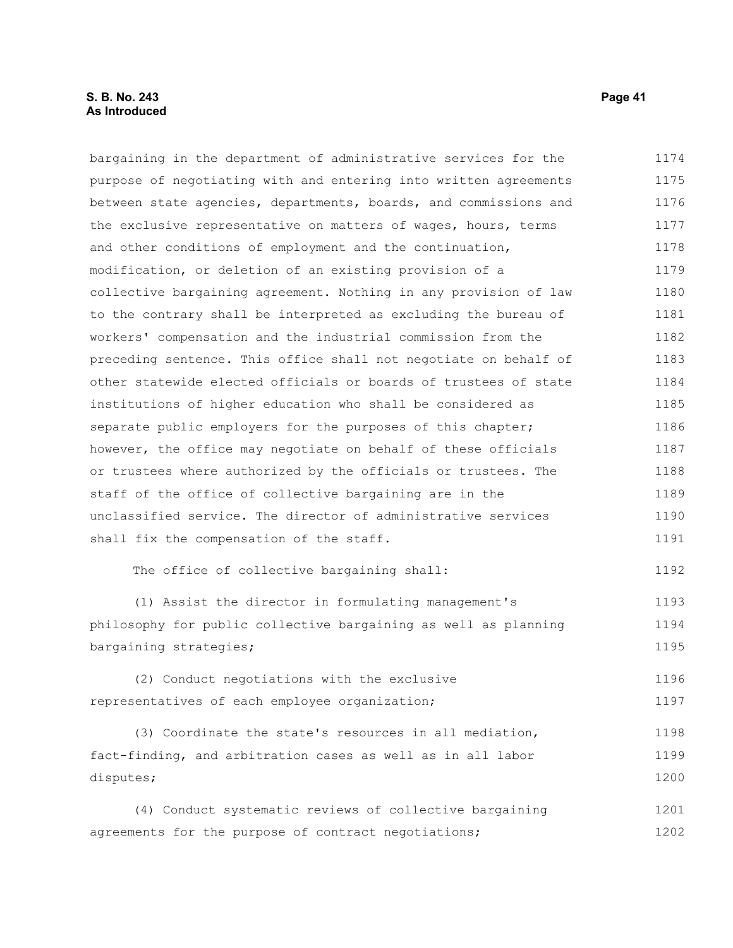#### **S. B. No. 243 Page 41 As Introduced**

bargaining in the department of administrative services for the purpose of negotiating with and entering into written agreements between state agencies, departments, boards, and commissions and the exclusive representative on matters of wages, hours, terms and other conditions of employment and the continuation, modification, or deletion of an existing provision of a collective bargaining agreement. Nothing in any provision of law to the contrary shall be interpreted as excluding the bureau of workers' compensation and the industrial commission from the preceding sentence. This office shall not negotiate on behalf of other statewide elected officials or boards of trustees of state institutions of higher education who shall be considered as separate public employers for the purposes of this chapter; however, the office may negotiate on behalf of these officials or trustees where authorized by the officials or trustees. The staff of the office of collective bargaining are in the unclassified service. The director of administrative services shall fix the compensation of the staff. The office of collective bargaining shall: (1) Assist the director in formulating management's philosophy for public collective bargaining as well as planning bargaining strategies; (2) Conduct negotiations with the exclusive representatives of each employee organization; (3) Coordinate the state's resources in all mediation, fact-finding, and arbitration cases as well as in all labor disputes; 1174 1175 1176 1177 1178 1179 1180 1181 1182 1183 1184 1185 1186 1187 1188 1189 1190 1191 1192 1193 1194 1195 1196 1197 1198 1199 1200 1201

(4) Conduct systematic reviews of collective bargaining agreements for the purpose of contract negotiations; 1202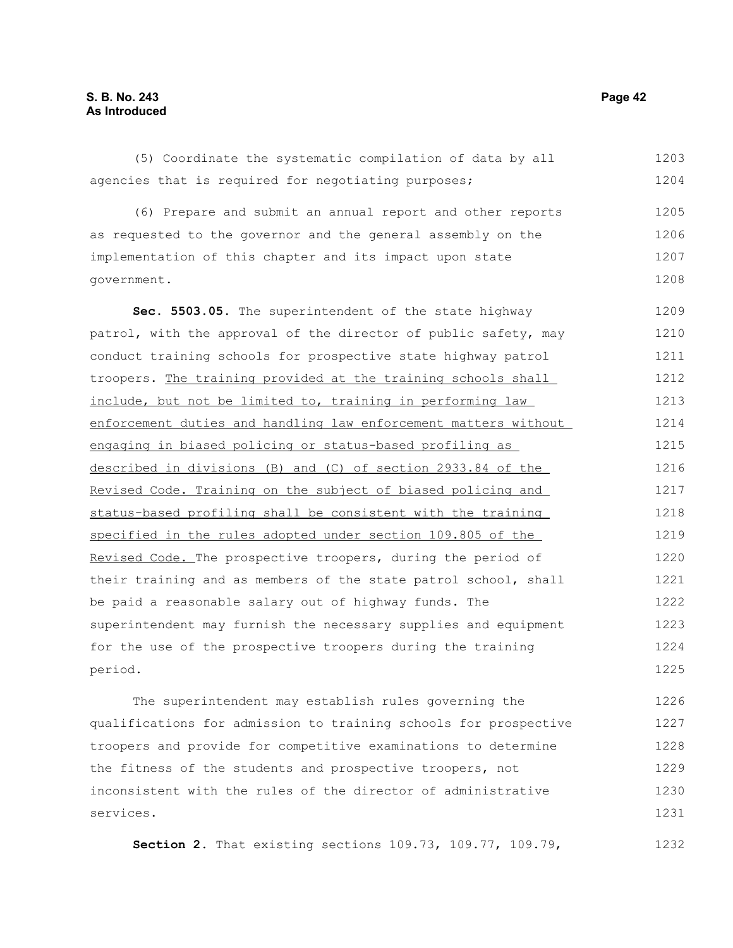(5) Coordinate the systematic compilation of data by all agencies that is required for negotiating purposes; (6) Prepare and submit an annual report and other reports as requested to the governor and the general assembly on the implementation of this chapter and its impact upon state government. **Sec. 5503.05.** The superintendent of the state highway patrol, with the approval of the director of public safety, may conduct training schools for prospective state highway patrol troopers. The training provided at the training schools shall include, but not be limited to, training in performing law enforcement duties and handling law enforcement matters without engaging in biased policing or status-based profiling as described in divisions (B) and (C) of section 2933.84 of the Revised Code. Training on the subject of biased policing and status-based profiling shall be consistent with the training specified in the rules adopted under section 109.805 of the Revised Code. The prospective troopers, during the period of their training and as members of the state patrol school, shall be paid a reasonable salary out of highway funds. The superintendent may furnish the necessary supplies and equipment for the use of the prospective troopers during the training period. The superintendent may establish rules governing the 1203 1204 1205 1206 1207 1208 1209 1210 1211 1212 1213 1214 1215 1216 1217 1218 1219 1220 1221 1222 1223 1224 1225 1226

qualifications for admission to training schools for prospective troopers and provide for competitive examinations to determine the fitness of the students and prospective troopers, not inconsistent with the rules of the director of administrative services. 1227 1228 1229 1230 1231

**Section 2.** That existing sections 109.73, 109.77, 109.79, 1232